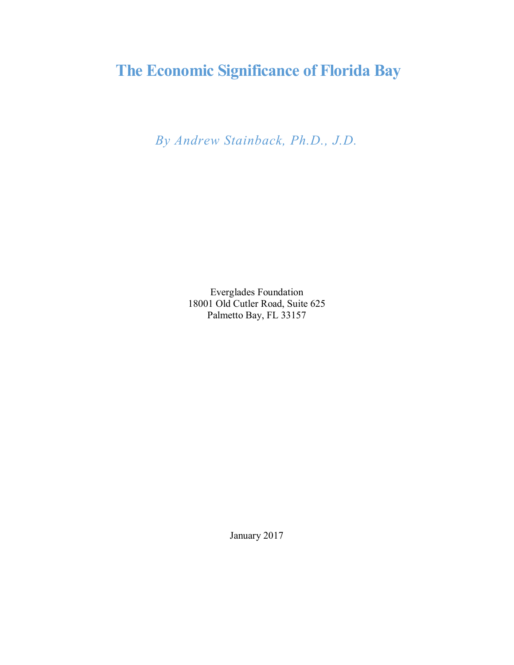# **The Economic Significance of Florida Bay**

*By Andrew Stainback, Ph.D., J.D.*

Everglades Foundation 18001 Old Cutler Road, Suite 625 Palmetto Bay, FL 33157

January 2017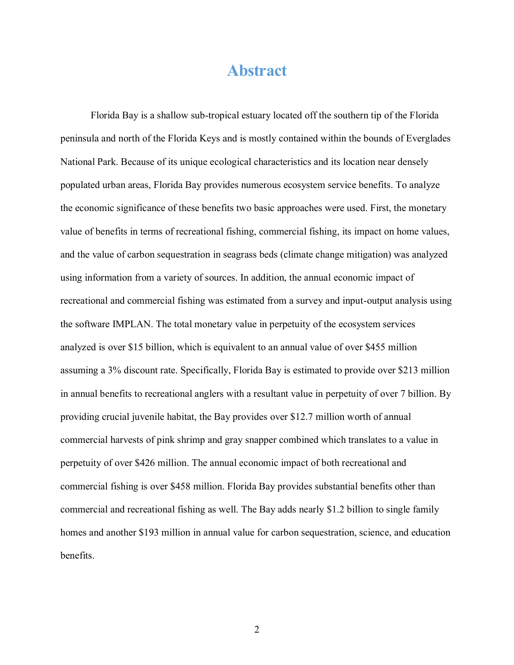## **Abstract**

Florida Bay is a shallow sub-tropical estuary located off the southern tip of the Florida peninsula and north of the Florida Keys and is mostly contained within the bounds of Everglades National Park. Because of its unique ecological characteristics and its location near densely populated urban areas, Florida Bay provides numerous ecosystem service benefits. To analyze the economic significance of these benefits two basic approaches were used. First, the monetary value of benefits in terms of recreational fishing, commercial fishing, its impact on home values, and the value of carbon sequestration in seagrass beds (climate change mitigation) was analyzed using information from a variety of sources. In addition, the annual economic impact of recreational and commercial fishing was estimated from a survey and input-output analysis using the software IMPLAN. The total monetary value in perpetuity of the ecosystem services analyzed is over \$15 billion, which is equivalent to an annual value of over \$455 million assuming a 3% discount rate. Specifically, Florida Bay is estimated to provide over \$213 million in annual benefits to recreational anglers with a resultant value in perpetuity of over 7 billion. By providing crucial juvenile habitat, the Bay provides over \$12.7 million worth of annual commercial harvests of pink shrimp and gray snapper combined which translates to a value in perpetuity of over \$426 million. The annual economic impact of both recreational and commercial fishing is over \$458 million. Florida Bay provides substantial benefits other than commercial and recreational fishing as well. The Bay adds nearly \$1.2 billion to single family homes and another \$193 million in annual value for carbon sequestration, science, and education benefits.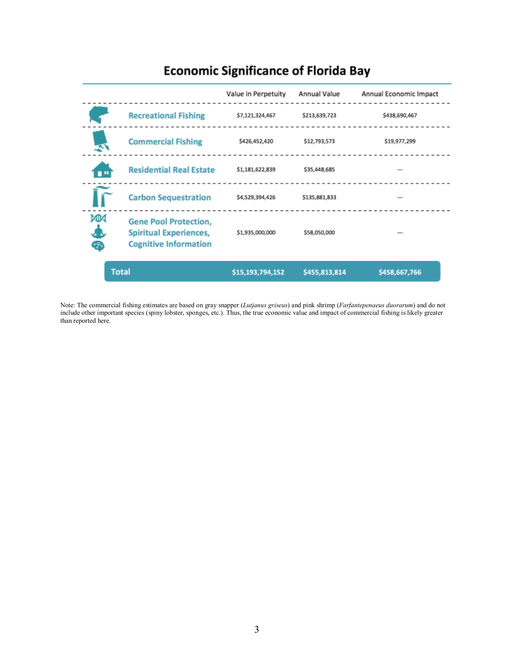

### **Economic Significance of Florida Bay**

Note: The commercial fishing estimates are based on gray snapper (*Lutjanus griseus*) and pink shrimp (*Farfantepenaeus duorarum*) and do not include other important species (spiny lobster, sponges, etc.). Thus, the true economic value and impact of commercial fishing is likely greater than reported here.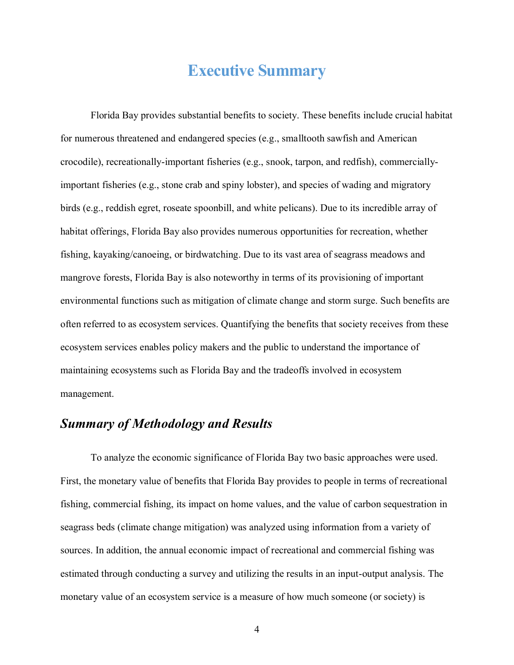## **Executive Summary**

Florida Bay provides substantial benefits to society. These benefits include crucial habitat for numerous threatened and endangered species (e.g., smalltooth sawfish and American crocodile), recreationally-important fisheries (e.g., snook, tarpon, and redfish), commerciallyimportant fisheries (e.g., stone crab and spiny lobster), and species of wading and migratory birds (e.g., reddish egret, roseate spoonbill, and white pelicans). Due to its incredible array of habitat offerings, Florida Bay also provides numerous opportunities for recreation, whether fishing, kayaking/canoeing, or birdwatching. Due to its vast area of seagrass meadows and mangrove forests, Florida Bay is also noteworthy in terms of its provisioning of important environmental functions such as mitigation of climate change and storm surge. Such benefits are often referred to as ecosystem services. Quantifying the benefits that society receives from these ecosystem services enables policy makers and the public to understand the importance of maintaining ecosystems such as Florida Bay and the tradeoffs involved in ecosystem management.

### *Summary of Methodology and Results*

To analyze the economic significance of Florida Bay two basic approaches were used. First, the monetary value of benefits that Florida Bay provides to people in terms of recreational fishing, commercial fishing, its impact on home values, and the value of carbon sequestration in seagrass beds (climate change mitigation) was analyzed using information from a variety of sources. In addition, the annual economic impact of recreational and commercial fishing was estimated through conducting a survey and utilizing the results in an input-output analysis. The monetary value of an ecosystem service is a measure of how much someone (or society) is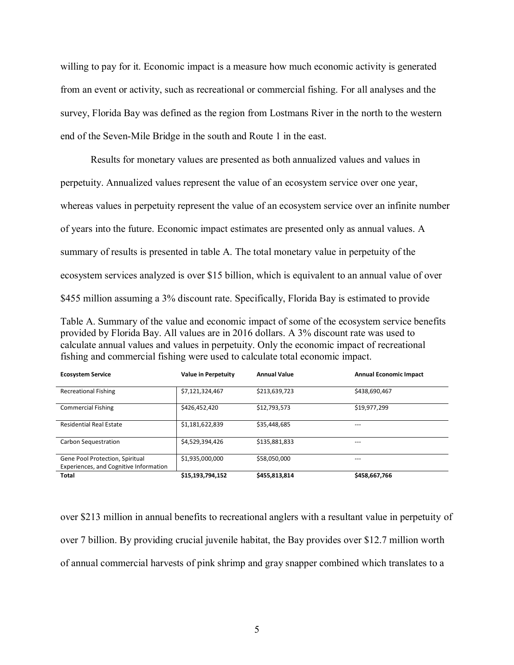willing to pay for it. Economic impact is a measure how much economic activity is generated from an event or activity, such as recreational or commercial fishing. For all analyses and the survey, Florida Bay was defined as the region from Lostmans River in the north to the western end of the Seven-Mile Bridge in the south and Route 1 in the east.

Results for monetary values are presented as both annualized values and values in perpetuity. Annualized values represent the value of an ecosystem service over one year, whereas values in perpetuity represent the value of an ecosystem service over an infinite number of years into the future. Economic impact estimates are presented only as annual values. A summary of results is presented in table A. The total monetary value in perpetuity of the ecosystem services analyzed is over \$15 billion, which is equivalent to an annual value of over \$455 million assuming a 3% discount rate. Specifically, Florida Bay is estimated to provide

Table A. Summary of the value and economic impact of some of the ecosystem service benefits provided by Florida Bay. All values are in 2016 dollars. A 3% discount rate was used to calculate annual values and values in perpetuity. Only the economic impact of recreational fishing and commercial fishing were used to calculate total economic impact.

| <b>Ecosystem Service</b>                                                  | <b>Value in Perpetuity</b> | <b>Annual Value</b> | <b>Annual Economic Impact</b> |
|---------------------------------------------------------------------------|----------------------------|---------------------|-------------------------------|
| <b>Recreational Fishing</b>                                               | \$7,121,324,467            | \$213,639,723       | \$438,690,467                 |
| <b>Commercial Fishing</b>                                                 | \$426,452,420              | \$12,793,573        | \$19,977,299                  |
| <b>Residential Real Estate</b>                                            | \$1,181,622,839            | \$35,448,685        | ---                           |
| Carbon Sequestration                                                      | \$4,529,394,426            | \$135,881,833       | ---                           |
| Gene Pool Protection, Spiritual<br>Experiences, and Cognitive Information | \$1,935,000,000            | \$58,050,000        | $---$                         |
| <b>Total</b>                                                              | \$15,193,794,152           | \$455,813,814       | \$458,667,766                 |

over \$213 million in annual benefits to recreational anglers with a resultant value in perpetuity of over 7 billion. By providing crucial juvenile habitat, the Bay provides over \$12.7 million worth of annual commercial harvests of pink shrimp and gray snapper combined which translates to a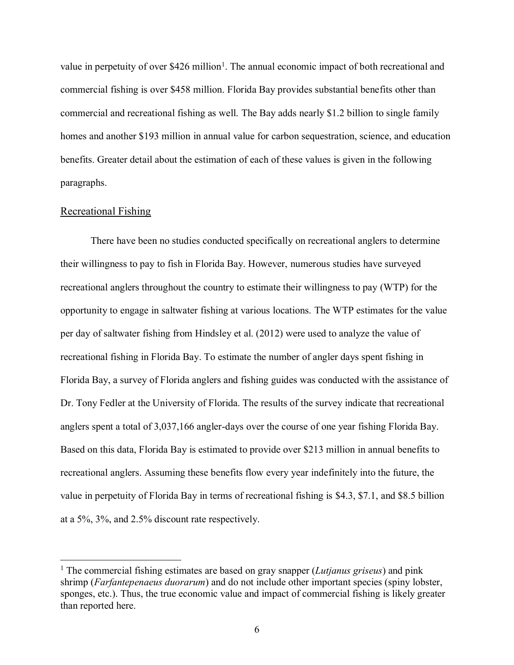value in perpetuity of over  $$426$  million<sup>1</sup>. The annual economic impact of both recreational and commercial fishing is over \$458 million. Florida Bay provides substantial benefits other than commercial and recreational fishing as well. The Bay adds nearly \$1.2 billion to single family homes and another \$193 million in annual value for carbon sequestration, science, and education benefits. Greater detail about the estimation of each of these values is given in the following paragraphs.

#### Recreational Fishing

There have been no studies conducted specifically on recreational anglers to determine their willingness to pay to fish in Florida Bay. However, numerous studies have surveyed recreational anglers throughout the country to estimate their willingness to pay (WTP) for the opportunity to engage in saltwater fishing at various locations. The WTP estimates for the value per day of saltwater fishing from Hindsley et al. (2012) were used to analyze the value of recreational fishing in Florida Bay. To estimate the number of angler days spent fishing in Florida Bay, a survey of Florida anglers and fishing guides was conducted with the assistance of Dr. Tony Fedler at the University of Florida. The results of the survey indicate that recreational anglers spent a total of 3,037,166 angler-days over the course of one year fishing Florida Bay. Based on this data, Florida Bay is estimated to provide over \$213 million in annual benefits to recreational anglers. Assuming these benefits flow every year indefinitely into the future, the value in perpetuity of Florida Bay in terms of recreational fishing is \$4.3, \$7.1, and \$8.5 billion at a 5%, 3%, and 2.5% discount rate respectively.

 <sup>1</sup> The commercial fishing estimates are based on gray snapper (*Lutjanus griseus*) and pink shrimp (*Farfantepenaeus duorarum*) and do not include other important species (spiny lobster, sponges, etc.). Thus, the true economic value and impact of commercial fishing is likely greater than reported here.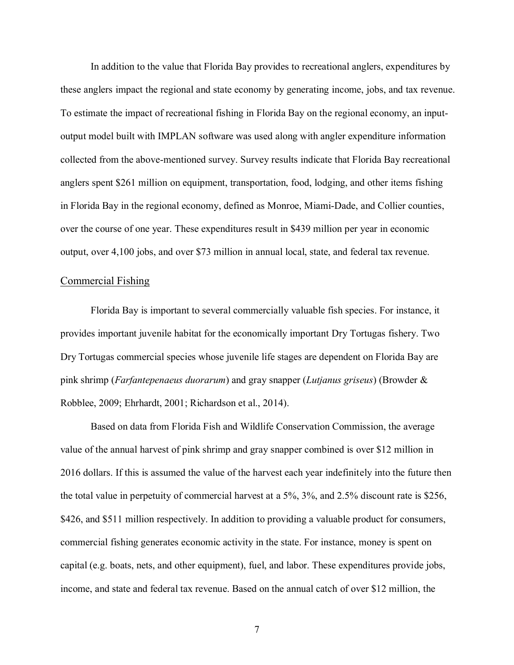In addition to the value that Florida Bay provides to recreational anglers, expenditures by these anglers impact the regional and state economy by generating income, jobs, and tax revenue. To estimate the impact of recreational fishing in Florida Bay on the regional economy, an inputoutput model built with IMPLAN software was used along with angler expenditure information collected from the above-mentioned survey. Survey results indicate that Florida Bay recreational anglers spent \$261 million on equipment, transportation, food, lodging, and other items fishing in Florida Bay in the regional economy, defined as Monroe, Miami-Dade, and Collier counties, over the course of one year. These expenditures result in \$439 million per year in economic output, over 4,100 jobs, and over \$73 million in annual local, state, and federal tax revenue.

#### Commercial Fishing

Florida Bay is important to several commercially valuable fish species. For instance, it provides important juvenile habitat for the economically important Dry Tortugas fishery. Two Dry Tortugas commercial species whose juvenile life stages are dependent on Florida Bay are pink shrimp (*Farfantepenaeus duorarum*) and gray snapper (*Lutjanus griseus*) (Browder & Robblee, 2009; Ehrhardt, 2001; Richardson et al., 2014).

Based on data from Florida Fish and Wildlife Conservation Commission, the average value of the annual harvest of pink shrimp and gray snapper combined is over \$12 million in 2016 dollars. If this is assumed the value of the harvest each year indefinitely into the future then the total value in perpetuity of commercial harvest at a 5%, 3%, and 2.5% discount rate is \$256, \$426, and \$511 million respectively. In addition to providing a valuable product for consumers, commercial fishing generates economic activity in the state. For instance, money is spent on capital (e.g. boats, nets, and other equipment), fuel, and labor. These expenditures provide jobs, income, and state and federal tax revenue. Based on the annual catch of over \$12 million, the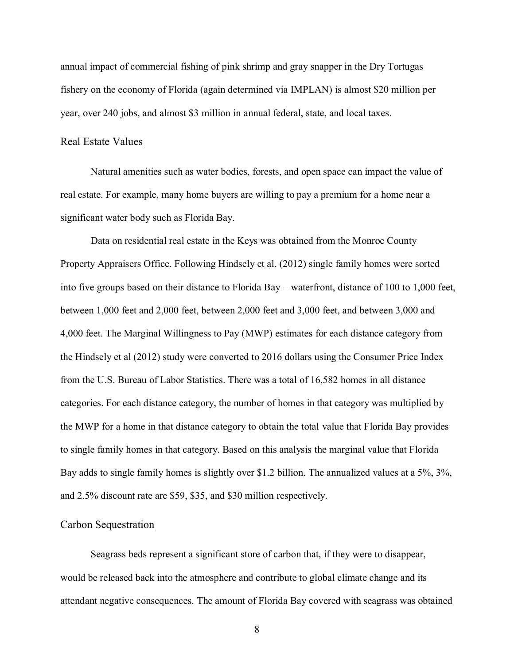annual impact of commercial fishing of pink shrimp and gray snapper in the Dry Tortugas fishery on the economy of Florida (again determined via IMPLAN) is almost \$20 million per year, over 240 jobs, and almost \$3 million in annual federal, state, and local taxes.

#### Real Estate Values

Natural amenities such as water bodies, forests, and open space can impact the value of real estate. For example, many home buyers are willing to pay a premium for a home near a significant water body such as Florida Bay.

Data on residential real estate in the Keys was obtained from the Monroe County Property Appraisers Office. Following Hindsely et al. (2012) single family homes were sorted into five groups based on their distance to Florida Bay – waterfront, distance of 100 to 1,000 feet, between 1,000 feet and 2,000 feet, between 2,000 feet and 3,000 feet, and between 3,000 and 4,000 feet. The Marginal Willingness to Pay (MWP) estimates for each distance category from the Hindsely et al (2012) study were converted to 2016 dollars using the Consumer Price Index from the U.S. Bureau of Labor Statistics. There was a total of 16,582 homes in all distance categories. For each distance category, the number of homes in that category was multiplied by the MWP for a home in that distance category to obtain the total value that Florida Bay provides to single family homes in that category. Based on this analysis the marginal value that Florida Bay adds to single family homes is slightly over \$1.2 billion. The annualized values at a 5%, 3%, and 2.5% discount rate are \$59, \$35, and \$30 million respectively.

#### Carbon Sequestration

Seagrass beds represent a significant store of carbon that, if they were to disappear, would be released back into the atmosphere and contribute to global climate change and its attendant negative consequences. The amount of Florida Bay covered with seagrass was obtained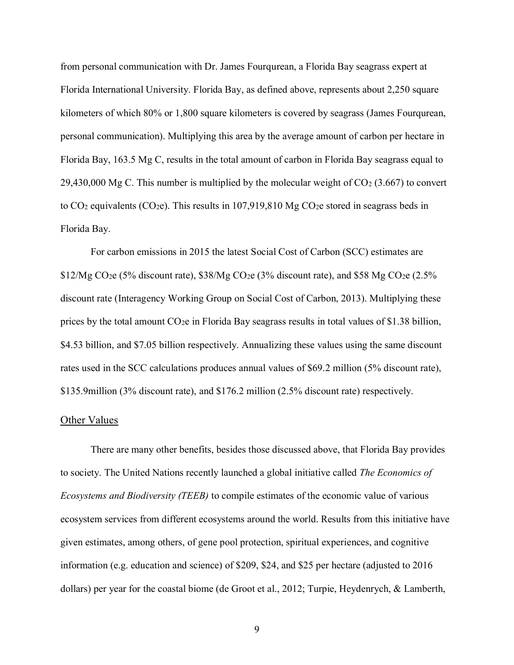from personal communication with Dr. James Fourqurean, a Florida Bay seagrass expert at Florida International University. Florida Bay, as defined above, represents about 2,250 square kilometers of which 80% or 1,800 square kilometers is covered by seagrass (James Fourqurean, personal communication). Multiplying this area by the average amount of carbon per hectare in Florida Bay, 163.5 Mg C, results in the total amount of carbon in Florida Bay seagrass equal to 29,430,000 Mg C. This number is multiplied by the molecular weight of  $CO<sub>2</sub>$  (3.667) to convert to CO<sub>2</sub> equivalents (CO<sub>2</sub>e). This results in 107,919,810 Mg CO<sub>2</sub>e stored in seagrass beds in Florida Bay.

For carbon emissions in 2015 the latest Social Cost of Carbon (SCC) estimates are  $$12/Mg$  CO<sub>2</sub>e (5% discount rate),  $$38/Mg$  CO<sub>2</sub>e (3% discount rate), and \$58 Mg CO<sub>2</sub>e (2.5%) discount rate (Interagency Working Group on Social Cost of Carbon, 2013). Multiplying these prices by the total amount CO2e in Florida Bay seagrass results in total values of \$1.38 billion, \$4.53 billion, and \$7.05 billion respectively. Annualizing these values using the same discount rates used in the SCC calculations produces annual values of \$69.2 million (5% discount rate), \$135.9million (3% discount rate), and \$176.2 million (2.5% discount rate) respectively.

#### Other Values

There are many other benefits, besides those discussed above, that Florida Bay provides to society. The United Nations recently launched a global initiative called *The Economics of Ecosystems and Biodiversity (TEEB)* to compile estimates of the economic value of various ecosystem services from different ecosystems around the world. Results from this initiative have given estimates, among others, of gene pool protection, spiritual experiences, and cognitive information (e.g. education and science) of \$209, \$24, and \$25 per hectare (adjusted to 2016 dollars) per year for the coastal biome (de Groot et al., 2012; Turpie, Heydenrych, & Lamberth,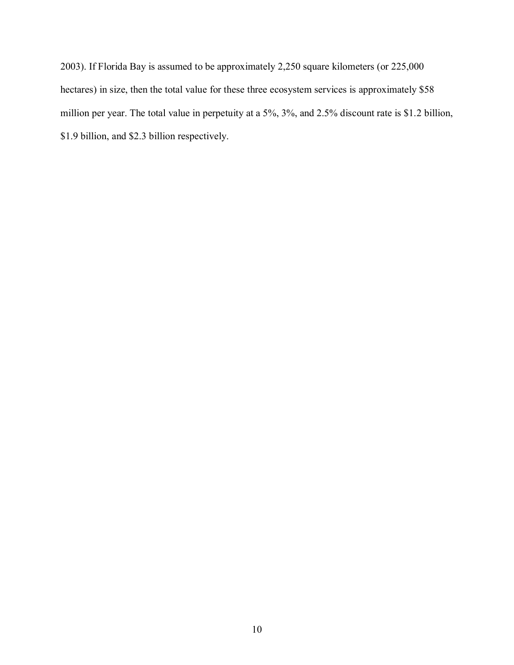2003). If Florida Bay is assumed to be approximately 2,250 square kilometers (or 225,000 hectares) in size, then the total value for these three ecosystem services is approximately \$58 million per year. The total value in perpetuity at a 5%, 3%, and 2.5% discount rate is \$1.2 billion, \$1.9 billion, and \$2.3 billion respectively.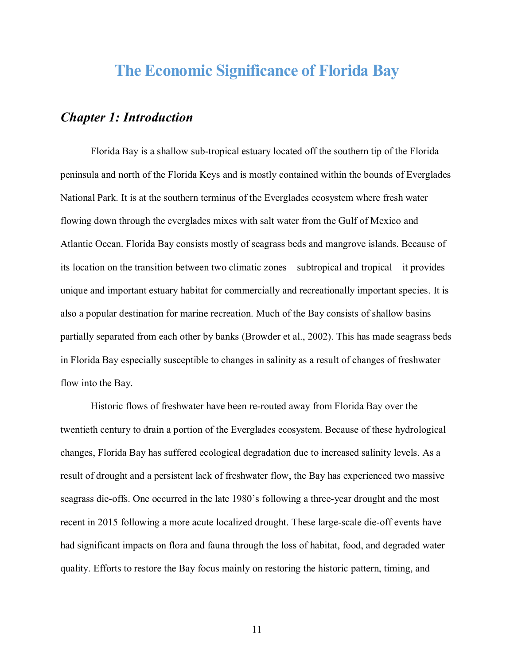## **The Economic Significance of Florida Bay**

### *Chapter 1: Introduction*

Florida Bay is a shallow sub-tropical estuary located off the southern tip of the Florida peninsula and north of the Florida Keys and is mostly contained within the bounds of Everglades National Park. It is at the southern terminus of the Everglades ecosystem where fresh water flowing down through the everglades mixes with salt water from the Gulf of Mexico and Atlantic Ocean. Florida Bay consists mostly of seagrass beds and mangrove islands. Because of its location on the transition between two climatic zones – subtropical and tropical – it provides unique and important estuary habitat for commercially and recreationally important species. It is also a popular destination for marine recreation. Much of the Bay consists of shallow basins partially separated from each other by banks (Browder et al., 2002). This has made seagrass beds in Florida Bay especially susceptible to changes in salinity as a result of changes of freshwater flow into the Bay.

Historic flows of freshwater have been re-routed away from Florida Bay over the twentieth century to drain a portion of the Everglades ecosystem. Because of these hydrological changes, Florida Bay has suffered ecological degradation due to increased salinity levels. As a result of drought and a persistent lack of freshwater flow, the Bay has experienced two massive seagrass die-offs. One occurred in the late 1980's following a three-year drought and the most recent in 2015 following a more acute localized drought. These large-scale die-off events have had significant impacts on flora and fauna through the loss of habitat, food, and degraded water quality. Efforts to restore the Bay focus mainly on restoring the historic pattern, timing, and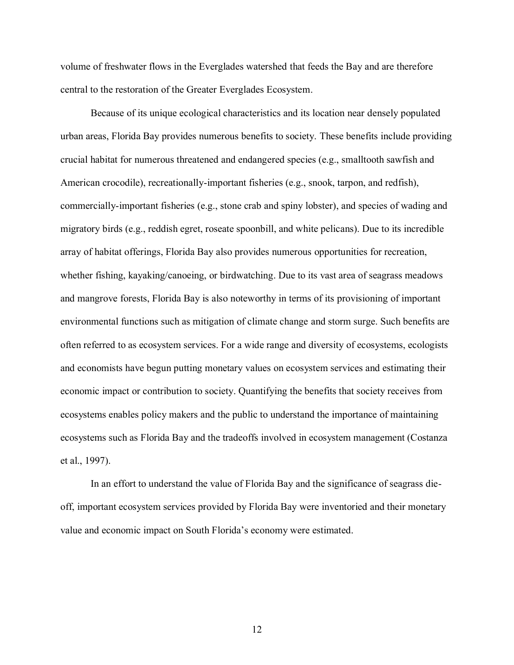volume of freshwater flows in the Everglades watershed that feeds the Bay and are therefore central to the restoration of the Greater Everglades Ecosystem.

Because of its unique ecological characteristics and its location near densely populated urban areas, Florida Bay provides numerous benefits to society. These benefits include providing crucial habitat for numerous threatened and endangered species (e.g., smalltooth sawfish and American crocodile), recreationally-important fisheries (e.g., snook, tarpon, and redfish), commercially-important fisheries (e.g., stone crab and spiny lobster), and species of wading and migratory birds (e.g., reddish egret, roseate spoonbill, and white pelicans). Due to its incredible array of habitat offerings, Florida Bay also provides numerous opportunities for recreation, whether fishing, kayaking/canoeing, or birdwatching. Due to its vast area of seagrass meadows and mangrove forests, Florida Bay is also noteworthy in terms of its provisioning of important environmental functions such as mitigation of climate change and storm surge. Such benefits are often referred to as ecosystem services. For a wide range and diversity of ecosystems, ecologists and economists have begun putting monetary values on ecosystem services and estimating their economic impact or contribution to society. Quantifying the benefits that society receives from ecosystems enables policy makers and the public to understand the importance of maintaining ecosystems such as Florida Bay and the tradeoffs involved in ecosystem management (Costanza et al., 1997).

In an effort to understand the value of Florida Bay and the significance of seagrass dieoff, important ecosystem services provided by Florida Bay were inventoried and their monetary value and economic impact on South Florida's economy were estimated.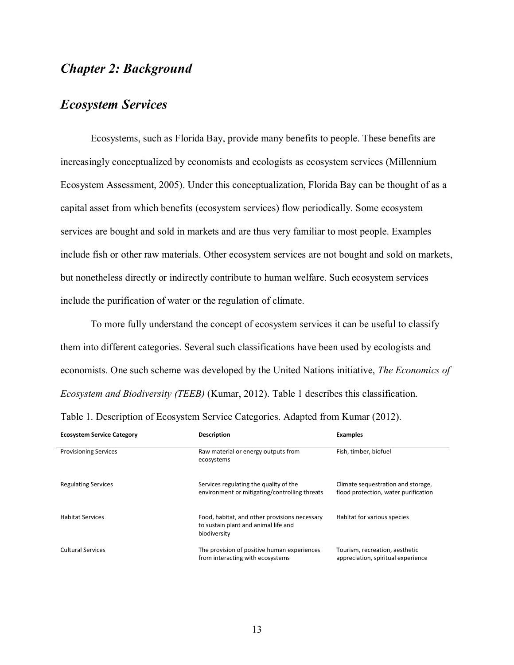### *Chapter 2: Background*

### *Ecosystem Services*

Ecosystems, such as Florida Bay, provide many benefits to people. These benefits are increasingly conceptualized by economists and ecologists as ecosystem services (Millennium Ecosystem Assessment, 2005). Under this conceptualization, Florida Bay can be thought of as a capital asset from which benefits (ecosystem services) flow periodically. Some ecosystem services are bought and sold in markets and are thus very familiar to most people. Examples include fish or other raw materials. Other ecosystem services are not bought and sold on markets, but nonetheless directly or indirectly contribute to human welfare. Such ecosystem services include the purification of water or the regulation of climate.

To more fully understand the concept of ecosystem services it can be useful to classify them into different categories. Several such classifications have been used by ecologists and economists. One such scheme was developed by the United Nations initiative, *The Economics of Ecosystem and Biodiversity (TEEB)* (Kumar, 2012). Table 1 describes this classification.

| <b>Ecosystem Service Category</b> | <b>Description</b>                                                                                    | <b>Examples</b>                                                            |
|-----------------------------------|-------------------------------------------------------------------------------------------------------|----------------------------------------------------------------------------|
| <b>Provisioning Services</b>      | Raw material or energy outputs from<br>ecosystems                                                     | Fish, timber, biofuel                                                      |
| <b>Regulating Services</b>        | Services regulating the quality of the<br>environment or mitigating/controlling threats               | Climate sequestration and storage,<br>flood protection, water purification |
| <b>Habitat Services</b>           | Food, habitat, and other provisions necessary<br>to sustain plant and animal life and<br>biodiversity | Habitat for various species                                                |
| <b>Cultural Services</b>          | The provision of positive human experiences<br>from interacting with ecosystems                       | Tourism, recreation, aesthetic<br>appreciation, spiritual experience       |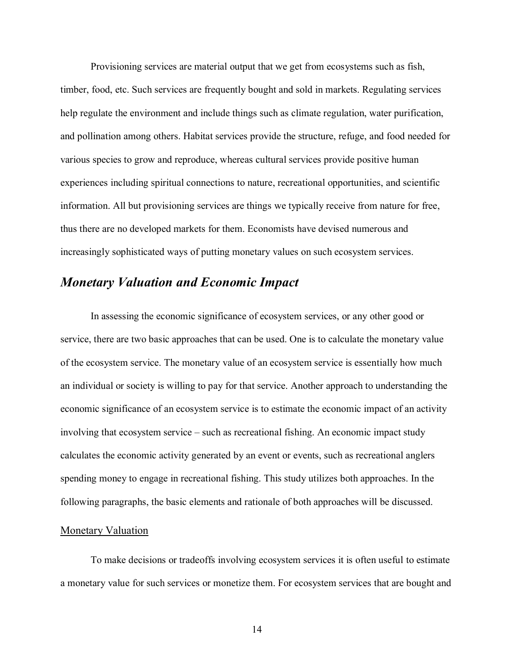Provisioning services are material output that we get from ecosystems such as fish, timber, food, etc. Such services are frequently bought and sold in markets. Regulating services help regulate the environment and include things such as climate regulation, water purification, and pollination among others. Habitat services provide the structure, refuge, and food needed for various species to grow and reproduce, whereas cultural services provide positive human experiences including spiritual connections to nature, recreational opportunities, and scientific information. All but provisioning services are things we typically receive from nature for free, thus there are no developed markets for them. Economists have devised numerous and increasingly sophisticated ways of putting monetary values on such ecosystem services.

### *Monetary Valuation and Economic Impact*

In assessing the economic significance of ecosystem services, or any other good or service, there are two basic approaches that can be used. One is to calculate the monetary value of the ecosystem service. The monetary value of an ecosystem service is essentially how much an individual or society is willing to pay for that service. Another approach to understanding the economic significance of an ecosystem service is to estimate the economic impact of an activity involving that ecosystem service – such as recreational fishing. An economic impact study calculates the economic activity generated by an event or events, such as recreational anglers spending money to engage in recreational fishing. This study utilizes both approaches. In the following paragraphs, the basic elements and rationale of both approaches will be discussed.

#### Monetary Valuation

To make decisions or tradeoffs involving ecosystem services it is often useful to estimate a monetary value for such services or monetize them. For ecosystem services that are bought and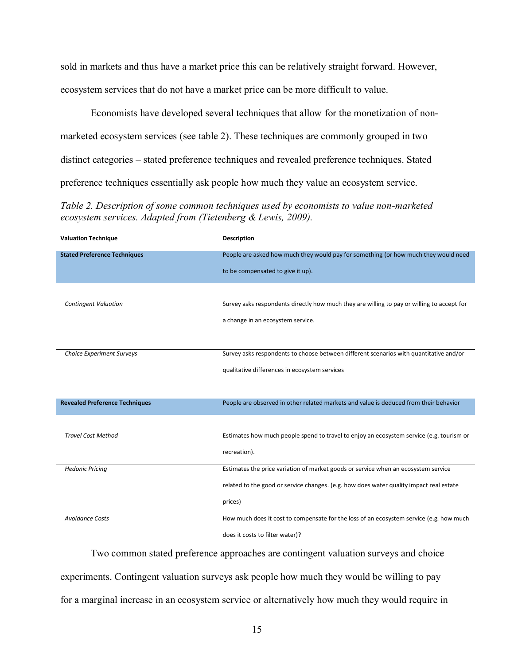sold in markets and thus have a market price this can be relatively straight forward. However, ecosystem services that do not have a market price can be more difficult to value.

Economists have developed several techniques that allow for the monetization of nonmarketed ecosystem services (see table 2). These techniques are commonly grouped in two distinct categories – stated preference techniques and revealed preference techniques. Stated preference techniques essentially ask people how much they value an ecosystem service.

*Table 2. Description of some common techniques used by economists to value non-marketed ecosystem services. Adapted from (Tietenberg & Lewis, 2009).*

| <b>Valuation Technique</b>            | Description                                                                                |
|---------------------------------------|--------------------------------------------------------------------------------------------|
| <b>Stated Preference Techniques</b>   | People are asked how much they would pay for something (or how much they would need        |
|                                       | to be compensated to give it up).                                                          |
|                                       |                                                                                            |
| <b>Contingent Valuation</b>           | Survey asks respondents directly how much they are willing to pay or willing to accept for |
|                                       | a change in an ecosystem service.                                                          |
|                                       |                                                                                            |
| <b>Choice Experiment Surveys</b>      | Survey asks respondents to choose between different scenarios with quantitative and/or     |
|                                       | qualitative differences in ecosystem services                                              |
|                                       |                                                                                            |
| <b>Revealed Preference Techniques</b> | People are observed in other related markets and value is deduced from their behavior      |
|                                       |                                                                                            |
| <b>Travel Cost Method</b>             | Estimates how much people spend to travel to enjoy an ecosystem service (e.g. tourism or   |
|                                       | recreation).                                                                               |
| <b>Hedonic Pricing</b>                | Estimates the price variation of market goods or service when an ecosystem service         |
|                                       | related to the good or service changes. (e.g. how does water quality impact real estate    |
|                                       | prices)                                                                                    |
| <b>Avoidance Costs</b>                | How much does it cost to compensate for the loss of an ecosystem service (e.g. how much    |
|                                       | does it costs to filter water)?                                                            |

Two common stated preference approaches are contingent valuation surveys and choice experiments. Contingent valuation surveys ask people how much they would be willing to pay for a marginal increase in an ecosystem service or alternatively how much they would require in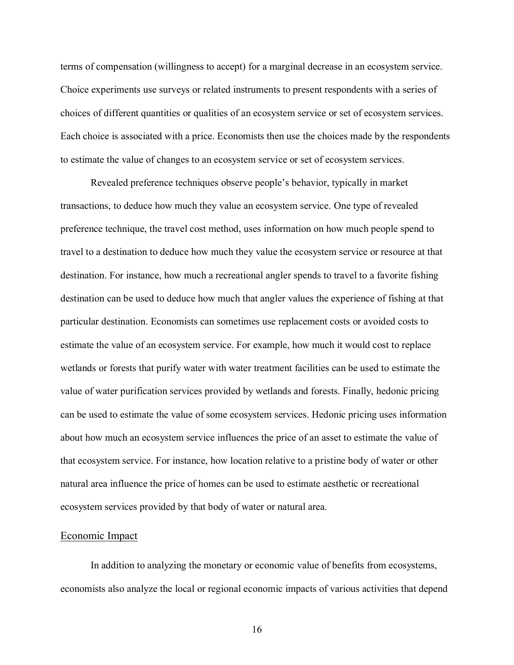terms of compensation (willingness to accept) for a marginal decrease in an ecosystem service. Choice experiments use surveys or related instruments to present respondents with a series of choices of different quantities or qualities of an ecosystem service or set of ecosystem services. Each choice is associated with a price. Economists then use the choices made by the respondents to estimate the value of changes to an ecosystem service or set of ecosystem services.

Revealed preference techniques observe people's behavior, typically in market transactions, to deduce how much they value an ecosystem service. One type of revealed preference technique, the travel cost method, uses information on how much people spend to travel to a destination to deduce how much they value the ecosystem service or resource at that destination. For instance, how much a recreational angler spends to travel to a favorite fishing destination can be used to deduce how much that angler values the experience of fishing at that particular destination. Economists can sometimes use replacement costs or avoided costs to estimate the value of an ecosystem service. For example, how much it would cost to replace wetlands or forests that purify water with water treatment facilities can be used to estimate the value of water purification services provided by wetlands and forests. Finally, hedonic pricing can be used to estimate the value of some ecosystem services. Hedonic pricing uses information about how much an ecosystem service influences the price of an asset to estimate the value of that ecosystem service. For instance, how location relative to a pristine body of water or other natural area influence the price of homes can be used to estimate aesthetic or recreational ecosystem services provided by that body of water or natural area.

#### Economic Impact

In addition to analyzing the monetary or economic value of benefits from ecosystems, economists also analyze the local or regional economic impacts of various activities that depend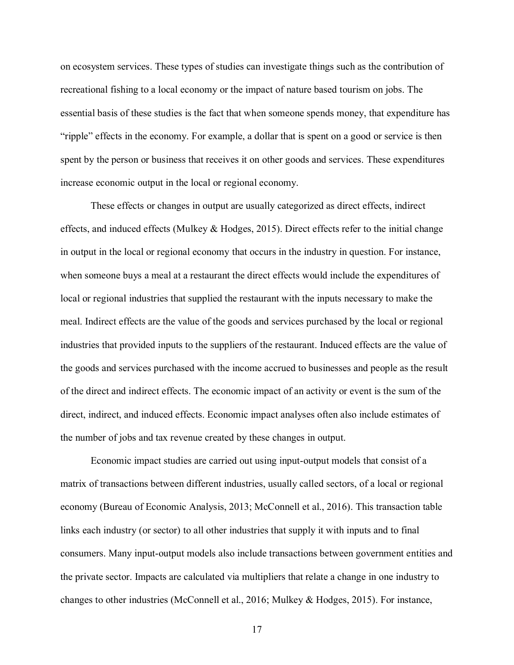on ecosystem services. These types of studies can investigate things such as the contribution of recreational fishing to a local economy or the impact of nature based tourism on jobs. The essential basis of these studies is the fact that when someone spends money, that expenditure has "ripple" effects in the economy. For example, a dollar that is spent on a good or service is then spent by the person or business that receives it on other goods and services. These expenditures increase economic output in the local or regional economy.

These effects or changes in output are usually categorized as direct effects, indirect effects, and induced effects (Mulkey  $& Hodges$ , 2015). Direct effects refer to the initial change in output in the local or regional economy that occurs in the industry in question. For instance, when someone buys a meal at a restaurant the direct effects would include the expenditures of local or regional industries that supplied the restaurant with the inputs necessary to make the meal. Indirect effects are the value of the goods and services purchased by the local or regional industries that provided inputs to the suppliers of the restaurant. Induced effects are the value of the goods and services purchased with the income accrued to businesses and people as the result of the direct and indirect effects. The economic impact of an activity or event is the sum of the direct, indirect, and induced effects. Economic impact analyses often also include estimates of the number of jobs and tax revenue created by these changes in output.

Economic impact studies are carried out using input-output models that consist of a matrix of transactions between different industries, usually called sectors, of a local or regional economy (Bureau of Economic Analysis, 2013; McConnell et al., 2016). This transaction table links each industry (or sector) to all other industries that supply it with inputs and to final consumers. Many input-output models also include transactions between government entities and the private sector. Impacts are calculated via multipliers that relate a change in one industry to changes to other industries (McConnell et al., 2016; Mulkey & Hodges, 2015). For instance,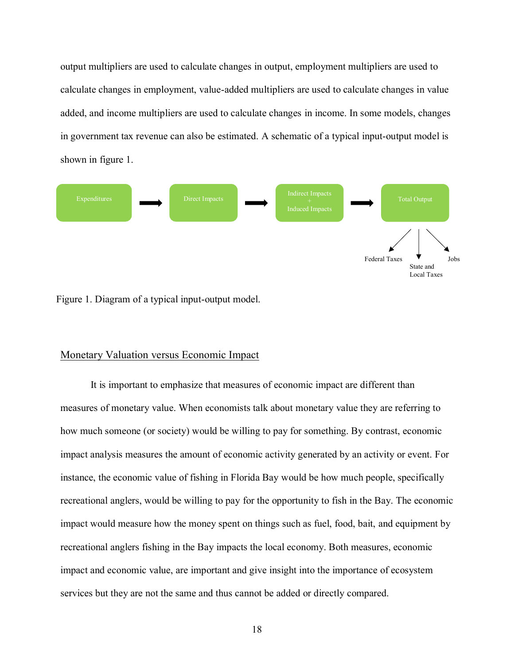output multipliers are used to calculate changes in output, employment multipliers are used to calculate changes in employment, value-added multipliers are used to calculate changes in value added, and income multipliers are used to calculate changes in income. In some models, changes in government tax revenue can also be estimated. A schematic of a typical input-output model is shown in figure 1.



Figure 1. Diagram of a typical input-output model.

### Monetary Valuation versus Economic Impact

It is important to emphasize that measures of economic impact are different than measures of monetary value. When economists talk about monetary value they are referring to how much someone (or society) would be willing to pay for something. By contrast, economic impact analysis measures the amount of economic activity generated by an activity or event. For instance, the economic value of fishing in Florida Bay would be how much people, specifically recreational anglers, would be willing to pay for the opportunity to fish in the Bay. The economic impact would measure how the money spent on things such as fuel, food, bait, and equipment by recreational anglers fishing in the Bay impacts the local economy. Both measures, economic impact and economic value, are important and give insight into the importance of ecosystem services but they are not the same and thus cannot be added or directly compared.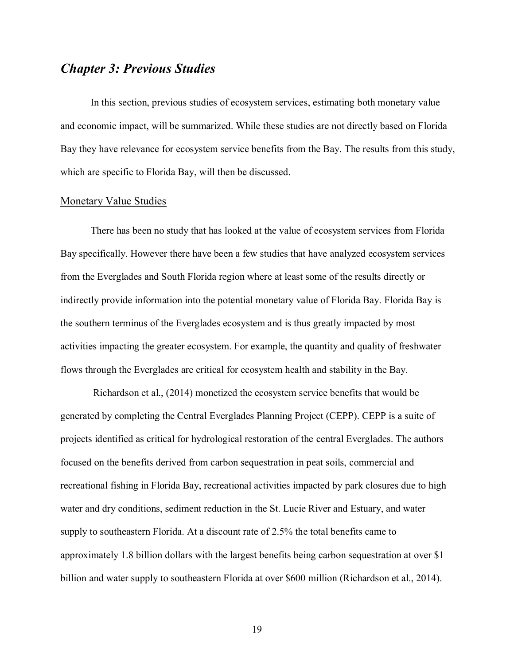### *Chapter 3: Previous Studies*

In this section, previous studies of ecosystem services, estimating both monetary value and economic impact, will be summarized. While these studies are not directly based on Florida Bay they have relevance for ecosystem service benefits from the Bay. The results from this study, which are specific to Florida Bay, will then be discussed.

#### Monetary Value Studies

There has been no study that has looked at the value of ecosystem services from Florida Bay specifically. However there have been a few studies that have analyzed ecosystem services from the Everglades and South Florida region where at least some of the results directly or indirectly provide information into the potential monetary value of Florida Bay. Florida Bay is the southern terminus of the Everglades ecosystem and is thus greatly impacted by most activities impacting the greater ecosystem. For example, the quantity and quality of freshwater flows through the Everglades are critical for ecosystem health and stability in the Bay.

Richardson et al., (2014) monetized the ecosystem service benefits that would be generated by completing the Central Everglades Planning Project (CEPP). CEPP is a suite of projects identified as critical for hydrological restoration of the central Everglades. The authors focused on the benefits derived from carbon sequestration in peat soils, commercial and recreational fishing in Florida Bay, recreational activities impacted by park closures due to high water and dry conditions, sediment reduction in the St. Lucie River and Estuary, and water supply to southeastern Florida. At a discount rate of 2.5% the total benefits came to approximately 1.8 billion dollars with the largest benefits being carbon sequestration at over \$1 billion and water supply to southeastern Florida at over \$600 million (Richardson et al., 2014).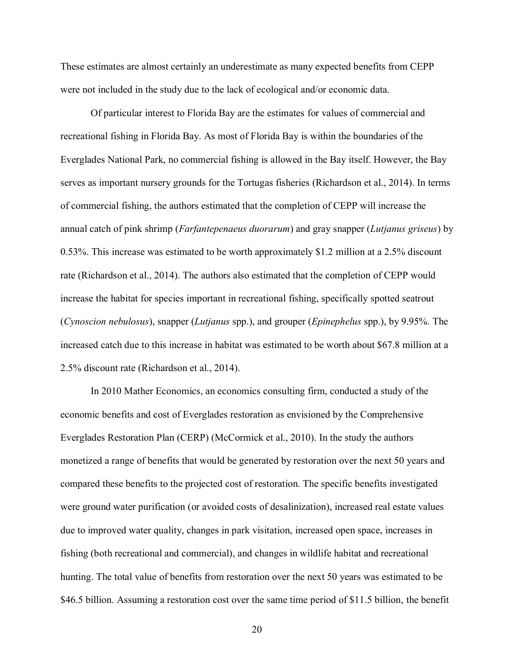These estimates are almost certainly an underestimate as many expected benefits from CEPP were not included in the study due to the lack of ecological and/or economic data.

Of particular interest to Florida Bay are the estimates for values of commercial and recreational fishing in Florida Bay. As most of Florida Bay is within the boundaries of the Everglades National Park, no commercial fishing is allowed in the Bay itself. However, the Bay serves as important nursery grounds for the Tortugas fisheries (Richardson et al., 2014). In terms of commercial fishing, the authors estimated that the completion of CEPP will increase the annual catch of pink shrimp (*Farfantepenaeus duorarum*) and gray snapper (*Lutjanus griseus*) by 0.53%. This increase was estimated to be worth approximately \$1.2 million at a 2.5% discount rate (Richardson et al., 2014). The authors also estimated that the completion of CEPP would increase the habitat for species important in recreational fishing, specifically spotted seatrout (*Cynoscion nebulosus*), snapper (*Lutjanus* spp.), and grouper (*Epinephelus* spp.), by 9.95%. The increased catch due to this increase in habitat was estimated to be worth about \$67.8 million at a 2.5% discount rate (Richardson et al., 2014).

In 2010 Mather Economics, an economics consulting firm, conducted a study of the economic benefits and cost of Everglades restoration as envisioned by the Comprehensive Everglades Restoration Plan (CERP) (McCormick et al., 2010). In the study the authors monetized a range of benefits that would be generated by restoration over the next 50 years and compared these benefits to the projected cost of restoration. The specific benefits investigated were ground water purification (or avoided costs of desalinization), increased real estate values due to improved water quality, changes in park visitation, increased open space, increases in fishing (both recreational and commercial), and changes in wildlife habitat and recreational hunting. The total value of benefits from restoration over the next 50 years was estimated to be \$46.5 billion. Assuming a restoration cost over the same time period of \$11.5 billion, the benefit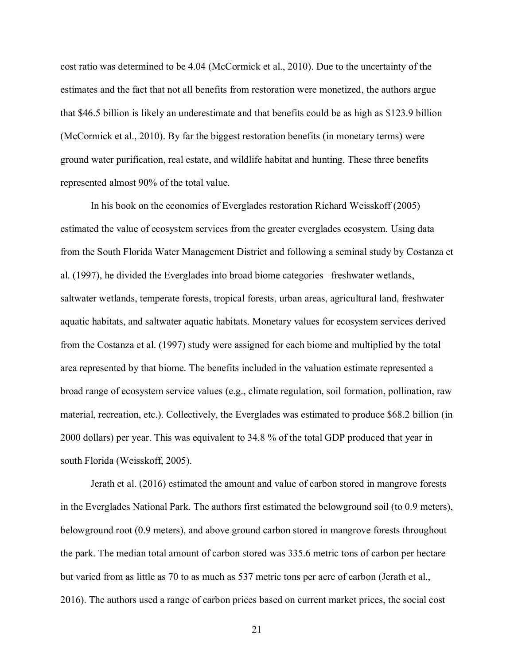cost ratio was determined to be 4.04 (McCormick et al., 2010). Due to the uncertainty of the estimates and the fact that not all benefits from restoration were monetized, the authors argue that \$46.5 billion is likely an underestimate and that benefits could be as high as \$123.9 billion (McCormick et al., 2010). By far the biggest restoration benefits (in monetary terms) were ground water purification, real estate, and wildlife habitat and hunting. These three benefits represented almost 90% of the total value.

In his book on the economics of Everglades restoration Richard Weisskoff (2005) estimated the value of ecosystem services from the greater everglades ecosystem. Using data from the South Florida Water Management District and following a seminal study by Costanza et al. (1997), he divided the Everglades into broad biome categories– freshwater wetlands, saltwater wetlands, temperate forests, tropical forests, urban areas, agricultural land, freshwater aquatic habitats, and saltwater aquatic habitats. Monetary values for ecosystem services derived from the Costanza et al. (1997) study were assigned for each biome and multiplied by the total area represented by that biome. The benefits included in the valuation estimate represented a broad range of ecosystem service values (e.g., climate regulation, soil formation, pollination, raw material, recreation, etc.). Collectively, the Everglades was estimated to produce \$68.2 billion (in 2000 dollars) per year. This was equivalent to 34.8 % of the total GDP produced that year in south Florida (Weisskoff, 2005).

Jerath et al. (2016) estimated the amount and value of carbon stored in mangrove forests in the Everglades National Park. The authors first estimated the belowground soil (to 0.9 meters), belowground root (0.9 meters), and above ground carbon stored in mangrove forests throughout the park. The median total amount of carbon stored was 335.6 metric tons of carbon per hectare but varied from as little as 70 to as much as 537 metric tons per acre of carbon (Jerath et al., 2016). The authors used a range of carbon prices based on current market prices, the social cost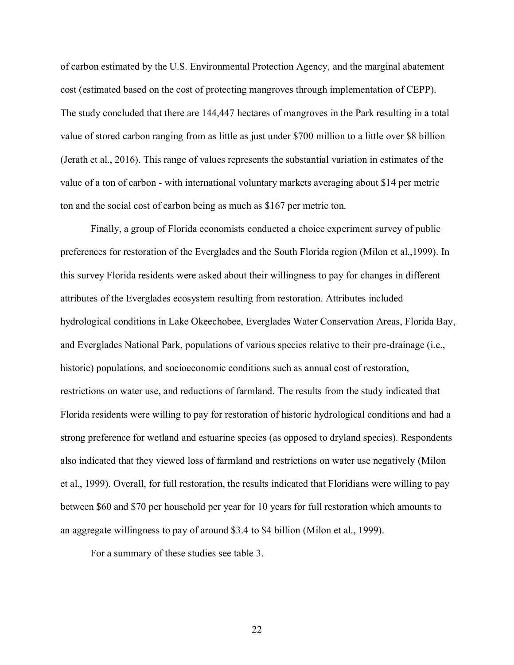of carbon estimated by the U.S. Environmental Protection Agency, and the marginal abatement cost (estimated based on the cost of protecting mangroves through implementation of CEPP). The study concluded that there are 144,447 hectares of mangroves in the Park resulting in a total value of stored carbon ranging from as little as just under \$700 million to a little over \$8 billion (Jerath et al., 2016). This range of values represents the substantial variation in estimates of the value of a ton of carbon - with international voluntary markets averaging about \$14 per metric ton and the social cost of carbon being as much as \$167 per metric ton.

Finally, a group of Florida economists conducted a choice experiment survey of public preferences for restoration of the Everglades and the South Florida region (Milon et al.,1999). In this survey Florida residents were asked about their willingness to pay for changes in different attributes of the Everglades ecosystem resulting from restoration. Attributes included hydrological conditions in Lake Okeechobee, Everglades Water Conservation Areas, Florida Bay, and Everglades National Park, populations of various species relative to their pre-drainage (i.e., historic) populations, and socioeconomic conditions such as annual cost of restoration, restrictions on water use, and reductions of farmland. The results from the study indicated that Florida residents were willing to pay for restoration of historic hydrological conditions and had a strong preference for wetland and estuarine species (as opposed to dryland species). Respondents also indicated that they viewed loss of farmland and restrictions on water use negatively (Milon et al., 1999). Overall, for full restoration, the results indicated that Floridians were willing to pay between \$60 and \$70 per household per year for 10 years for full restoration which amounts to an aggregate willingness to pay of around \$3.4 to \$4 billion (Milon et al., 1999).

For a summary of these studies see table 3.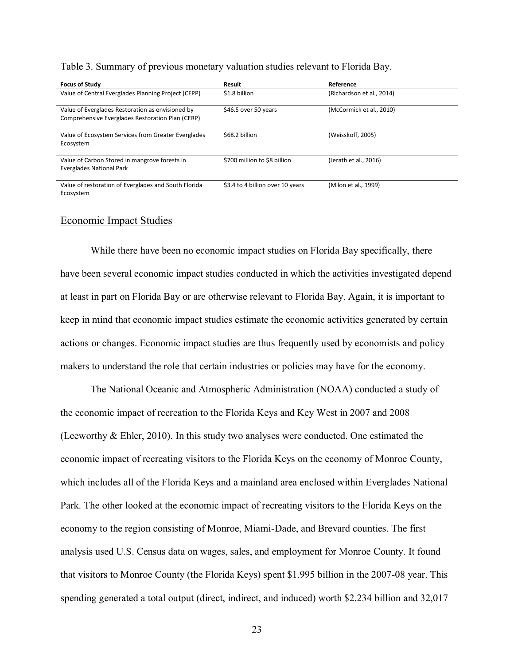| <b>Focus of Study</b>                                                                                | <b>Result</b>                    | Reference                 |
|------------------------------------------------------------------------------------------------------|----------------------------------|---------------------------|
| Value of Central Everglades Planning Project (CEPP)                                                  | \$1.8 billion                    | (Richardson et al., 2014) |
| Value of Everglades Restoration as envisioned by<br>Comprehensive Everglades Restoration Plan (CERP) | \$46.5 over 50 years             | (McCormick et al., 2010)  |
| Value of Ecosystem Services from Greater Everglades<br>Ecosystem                                     | \$68.2 billion                   | (Weisskoff, 2005)         |
| Value of Carbon Stored in mangrove forests in<br><b>Everglades National Park</b>                     | \$700 million to \$8 billion     | (Jerath et al., 2016)     |
| Value of restoration of Everglades and South Florida<br>Ecosystem                                    | \$3.4 to 4 billion over 10 years | (Milon et al., 1999)      |

Table 3. Summary of previous monetary valuation studies relevant to Florida Bay.

#### Economic Impact Studies

While there have been no economic impact studies on Florida Bay specifically, there have been several economic impact studies conducted in which the activities investigated depend at least in part on Florida Bay or are otherwise relevant to Florida Bay. Again, it is important to keep in mind that economic impact studies estimate the economic activities generated by certain actions or changes. Economic impact studies are thus frequently used by economists and policy makers to understand the role that certain industries or policies may have for the economy.

The National Oceanic and Atmospheric Administration (NOAA) conducted a study of the economic impact of recreation to the Florida Keys and Key West in 2007 and 2008 (Leeworthy & Ehler, 2010). In this study two analyses were conducted. One estimated the economic impact of recreating visitors to the Florida Keys on the economy of Monroe County, which includes all of the Florida Keys and a mainland area enclosed within Everglades National Park. The other looked at the economic impact of recreating visitors to the Florida Keys on the economy to the region consisting of Monroe, Miami-Dade, and Brevard counties. The first analysis used U.S. Census data on wages, sales, and employment for Monroe County. It found that visitors to Monroe County (the Florida Keys) spent \$1.995 billion in the 2007-08 year. This spending generated a total output (direct, indirect, and induced) worth \$2.234 billion and 32,017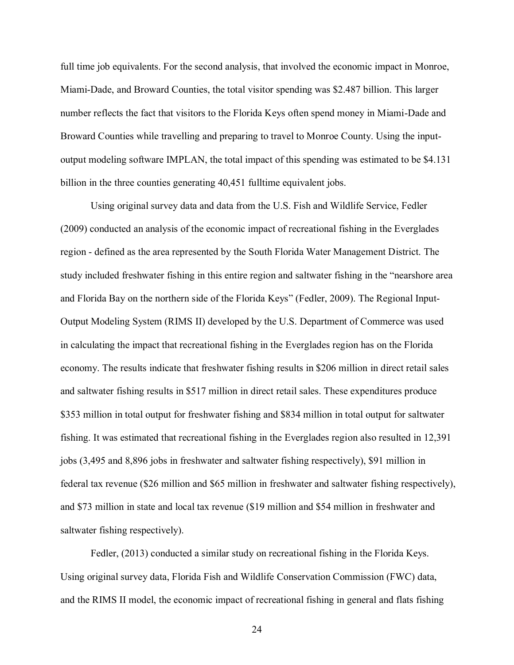full time job equivalents. For the second analysis, that involved the economic impact in Monroe, Miami-Dade, and Broward Counties, the total visitor spending was \$2.487 billion. This larger number reflects the fact that visitors to the Florida Keys often spend money in Miami-Dade and Broward Counties while travelling and preparing to travel to Monroe County. Using the inputoutput modeling software IMPLAN, the total impact of this spending was estimated to be \$4.131 billion in the three counties generating 40,451 fulltime equivalent jobs.

Using original survey data and data from the U.S. Fish and Wildlife Service, Fedler (2009) conducted an analysis of the economic impact of recreational fishing in the Everglades region - defined as the area represented by the South Florida Water Management District. The study included freshwater fishing in this entire region and saltwater fishing in the "nearshore area and Florida Bay on the northern side of the Florida Keys" (Fedler, 2009). The Regional Input-Output Modeling System (RIMS II) developed by the U.S. Department of Commerce was used in calculating the impact that recreational fishing in the Everglades region has on the Florida economy. The results indicate that freshwater fishing results in \$206 million in direct retail sales and saltwater fishing results in \$517 million in direct retail sales. These expenditures produce \$353 million in total output for freshwater fishing and \$834 million in total output for saltwater fishing. It was estimated that recreational fishing in the Everglades region also resulted in 12,391 jobs (3,495 and 8,896 jobs in freshwater and saltwater fishing respectively), \$91 million in federal tax revenue (\$26 million and \$65 million in freshwater and saltwater fishing respectively), and \$73 million in state and local tax revenue (\$19 million and \$54 million in freshwater and saltwater fishing respectively).

Fedler, (2013) conducted a similar study on recreational fishing in the Florida Keys. Using original survey data, Florida Fish and Wildlife Conservation Commission (FWC) data, and the RIMS II model, the economic impact of recreational fishing in general and flats fishing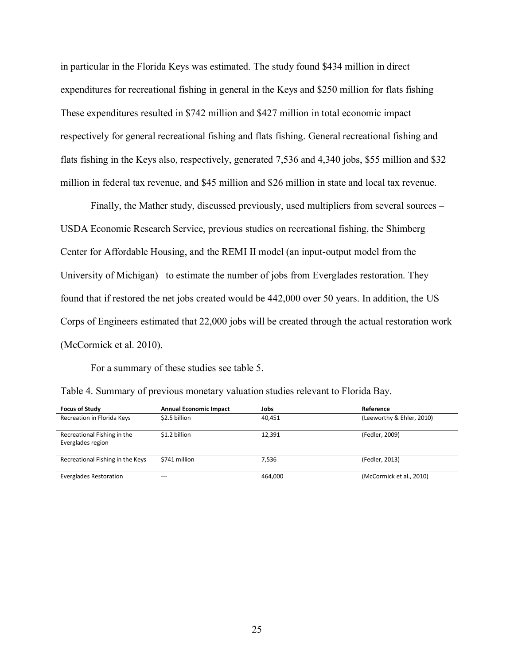in particular in the Florida Keys was estimated. The study found \$434 million in direct expenditures for recreational fishing in general in the Keys and \$250 million for flats fishing These expenditures resulted in \$742 million and \$427 million in total economic impact respectively for general recreational fishing and flats fishing. General recreational fishing and flats fishing in the Keys also, respectively, generated 7,536 and 4,340 jobs, \$55 million and \$32 million in federal tax revenue, and \$45 million and \$26 million in state and local tax revenue.

Finally, the Mather study, discussed previously, used multipliers from several sources – USDA Economic Research Service, previous studies on recreational fishing, the Shimberg Center for Affordable Housing, and the REMI II model (an input-output model from the University of Michigan)– to estimate the number of jobs from Everglades restoration. They found that if restored the net jobs created would be 442,000 over 50 years. In addition, the US Corps of Engineers estimated that 22,000 jobs will be created through the actual restoration work (McCormick et al. 2010).

For a summary of these studies see table 5.

|  |  |  |  |  | Table 4. Summary of previous monetary valuation studies relevant to Florida Bay. |
|--|--|--|--|--|----------------------------------------------------------------------------------|
|--|--|--|--|--|----------------------------------------------------------------------------------|

| <b>Focus of Study</b>                            | <b>Annual Economic Impact</b> | Jobs    | Reference                 |
|--------------------------------------------------|-------------------------------|---------|---------------------------|
| Recreation in Florida Keys                       | \$2.5 billion                 | 40,451  | (Leeworthy & Ehler, 2010) |
| Recreational Fishing in the<br>Everglades region | \$1.2 billion                 | 12,391  | (Fedler, 2009)            |
| Recreational Fishing in the Keys                 | \$741 million                 | 7.536   | (Fedler, 2013)            |
| Everglades Restoration                           | $---$                         | 464.000 | (McCormick et al., 2010)  |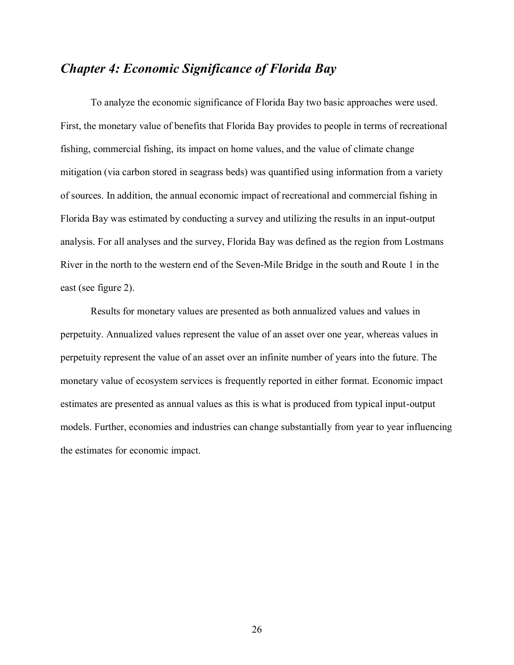### *Chapter 4: Economic Significance of Florida Bay*

To analyze the economic significance of Florida Bay two basic approaches were used. First, the monetary value of benefits that Florida Bay provides to people in terms of recreational fishing, commercial fishing, its impact on home values, and the value of climate change mitigation (via carbon stored in seagrass beds) was quantified using information from a variety of sources. In addition, the annual economic impact of recreational and commercial fishing in Florida Bay was estimated by conducting a survey and utilizing the results in an input-output analysis. For all analyses and the survey, Florida Bay was defined as the region from Lostmans River in the north to the western end of the Seven-Mile Bridge in the south and Route 1 in the east (see figure 2).

Results for monetary values are presented as both annualized values and values in perpetuity. Annualized values represent the value of an asset over one year, whereas values in perpetuity represent the value of an asset over an infinite number of years into the future. The monetary value of ecosystem services is frequently reported in either format. Economic impact estimates are presented as annual values as this is what is produced from typical input-output models. Further, economies and industries can change substantially from year to year influencing the estimates for economic impact.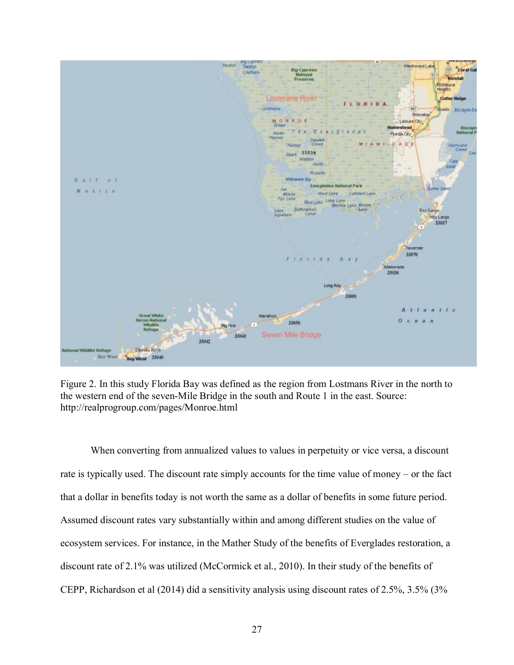

Figure 2. In this study Florida Bay was defined as the region from Lostmans River in the north to the western end of the seven-Mile Bridge in the south and Route 1 in the east. Source: http://realprogroup.com/pages/Monroe.html

When converting from annualized values to values in perpetuity or vice versa, a discount rate is typically used. The discount rate simply accounts for the time value of money – or the fact that a dollar in benefits today is not worth the same as a dollar of benefits in some future period. Assumed discount rates vary substantially within and among different studies on the value of ecosystem services. For instance, in the Mather Study of the benefits of Everglades restoration, a discount rate of 2.1% was utilized (McCormick et al., 2010). In their study of the benefits of CEPP, Richardson et al (2014) did a sensitivity analysis using discount rates of 2.5%, 3.5% (3%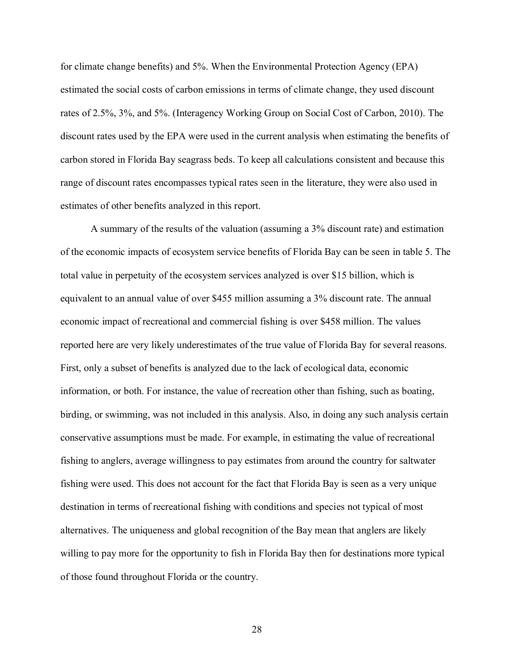for climate change benefits) and 5%. When the Environmental Protection Agency (EPA) estimated the social costs of carbon emissions in terms of climate change, they used discount rates of 2.5%, 3%, and 5%. (Interagency Working Group on Social Cost of Carbon, 2010). The discount rates used by the EPA were used in the current analysis when estimating the benefits of carbon stored in Florida Bay seagrass beds. To keep all calculations consistent and because this range of discount rates encompasses typical rates seen in the literature, they were also used in estimates of other benefits analyzed in this report.

A summary of the results of the valuation (assuming a 3% discount rate) and estimation of the economic impacts of ecosystem service benefits of Florida Bay can be seen in table 5. The total value in perpetuity of the ecosystem services analyzed is over \$15 billion, which is equivalent to an annual value of over \$455 million assuming a 3% discount rate. The annual economic impact of recreational and commercial fishing is over \$458 million. The values reported here are very likely underestimates of the true value of Florida Bay for several reasons. First, only a subset of benefits is analyzed due to the lack of ecological data, economic information, or both. For instance, the value of recreation other than fishing, such as boating, birding, or swimming, was not included in this analysis. Also, in doing any such analysis certain conservative assumptions must be made. For example, in estimating the value of recreational fishing to anglers, average willingness to pay estimates from around the country for saltwater fishing were used. This does not account for the fact that Florida Bay is seen as a very unique destination in terms of recreational fishing with conditions and species not typical of most alternatives. The uniqueness and global recognition of the Bay mean that anglers are likely willing to pay more for the opportunity to fish in Florida Bay then for destinations more typical of those found throughout Florida or the country.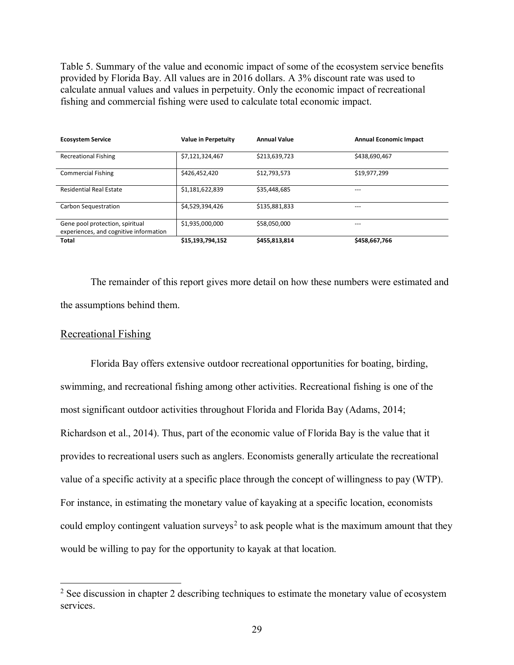Table 5. Summary of the value and economic impact of some of the ecosystem service benefits provided by Florida Bay. All values are in 2016 dollars. A 3% discount rate was used to calculate annual values and values in perpetuity. Only the economic impact of recreational fishing and commercial fishing were used to calculate total economic impact.

| <b>Ecosystem Service</b>                                                  | Value in Perpetuity | <b>Annual Value</b> | <b>Annual Economic Impact</b> |
|---------------------------------------------------------------------------|---------------------|---------------------|-------------------------------|
| <b>Recreational Fishing</b>                                               | \$7,121,324,467     | \$213,639,723       | \$438,690,467                 |
| <b>Commercial Fishing</b>                                                 | \$426,452,420       | \$12,793,573        | \$19,977,299                  |
| <b>Residential Real Estate</b>                                            | \$1,181,622,839     | \$35,448,685        |                               |
| Carbon Sequestration                                                      | \$4,529,394,426     | \$135,881,833       | ---                           |
| Gene pool protection, spiritual<br>experiences, and cognitive information | \$1,935,000,000     | \$58,050,000        | ---                           |
| <b>Total</b>                                                              | \$15,193,794,152    | \$455,813,814       | \$458,667,766                 |

The remainder of this report gives more detail on how these numbers were estimated and the assumptions behind them.

#### Recreational Fishing

Florida Bay offers extensive outdoor recreational opportunities for boating, birding, swimming, and recreational fishing among other activities. Recreational fishing is one of the most significant outdoor activities throughout Florida and Florida Bay (Adams, 2014; Richardson et al., 2014). Thus, part of the economic value of Florida Bay is the value that it provides to recreational users such as anglers. Economists generally articulate the recreational value of a specific activity at a specific place through the concept of willingness to pay (WTP). For instance, in estimating the monetary value of kayaking at a specific location, economists could employ contingent valuation surveys<sup>2</sup> to ask people what is the maximum amount that they would be willing to pay for the opportunity to kayak at that location.

<sup>&</sup>lt;sup>2</sup> See discussion in chapter 2 describing techniques to estimate the monetary value of ecosystem services.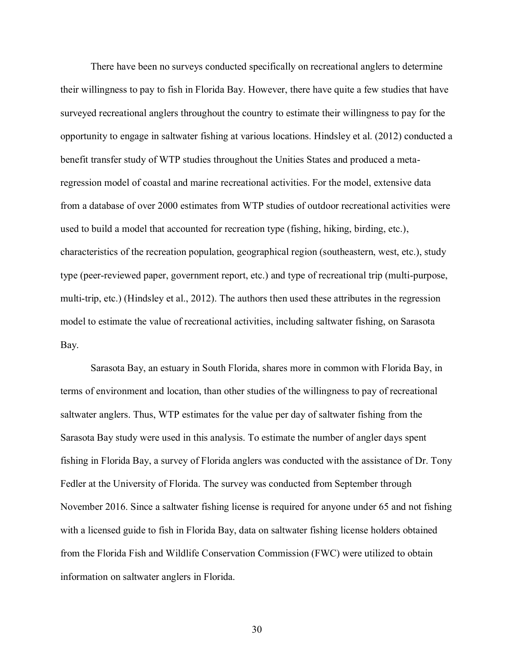There have been no surveys conducted specifically on recreational anglers to determine their willingness to pay to fish in Florida Bay. However, there have quite a few studies that have surveyed recreational anglers throughout the country to estimate their willingness to pay for the opportunity to engage in saltwater fishing at various locations. Hindsley et al. (2012) conducted a benefit transfer study of WTP studies throughout the Unities States and produced a metaregression model of coastal and marine recreational activities. For the model, extensive data from a database of over 2000 estimates from WTP studies of outdoor recreational activities were used to build a model that accounted for recreation type (fishing, hiking, birding, etc.), characteristics of the recreation population, geographical region (southeastern, west, etc.), study type (peer-reviewed paper, government report, etc.) and type of recreational trip (multi-purpose, multi-trip, etc.) (Hindsley et al., 2012). The authors then used these attributes in the regression model to estimate the value of recreational activities, including saltwater fishing, on Sarasota Bay.

Sarasota Bay, an estuary in South Florida, shares more in common with Florida Bay, in terms of environment and location, than other studies of the willingness to pay of recreational saltwater anglers. Thus, WTP estimates for the value per day of saltwater fishing from the Sarasota Bay study were used in this analysis. To estimate the number of angler days spent fishing in Florida Bay, a survey of Florida anglers was conducted with the assistance of Dr. Tony Fedler at the University of Florida. The survey was conducted from September through November 2016. Since a saltwater fishing license is required for anyone under 65 and not fishing with a licensed guide to fish in Florida Bay, data on saltwater fishing license holders obtained from the Florida Fish and Wildlife Conservation Commission (FWC) were utilized to obtain information on saltwater anglers in Florida.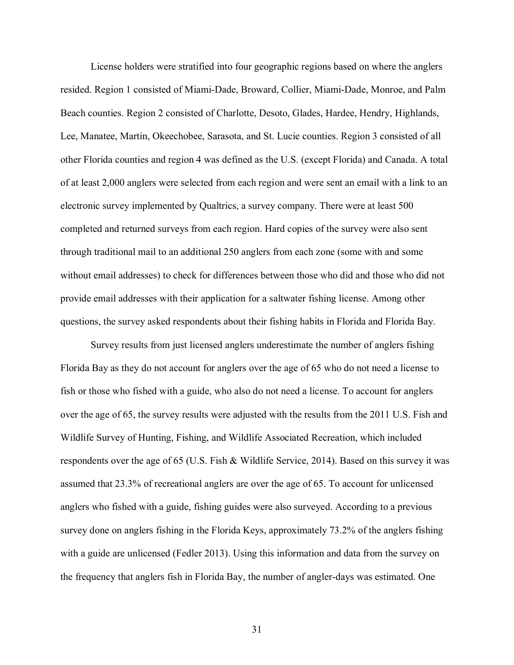License holders were stratified into four geographic regions based on where the anglers resided. Region 1 consisted of Miami-Dade, Broward, Collier, Miami-Dade, Monroe, and Palm Beach counties. Region 2 consisted of Charlotte, Desoto, Glades, Hardee, Hendry, Highlands, Lee, Manatee, Martin, Okeechobee, Sarasota, and St. Lucie counties. Region 3 consisted of all other Florida counties and region 4 was defined as the U.S. (except Florida) and Canada. A total of at least 2,000 anglers were selected from each region and were sent an email with a link to an electronic survey implemented by Qualtrics, a survey company. There were at least 500 completed and returned surveys from each region. Hard copies of the survey were also sent through traditional mail to an additional 250 anglers from each zone (some with and some without email addresses) to check for differences between those who did and those who did not provide email addresses with their application for a saltwater fishing license. Among other questions, the survey asked respondents about their fishing habits in Florida and Florida Bay.

Survey results from just licensed anglers underestimate the number of anglers fishing Florida Bay as they do not account for anglers over the age of 65 who do not need a license to fish or those who fished with a guide, who also do not need a license. To account for anglers over the age of 65, the survey results were adjusted with the results from the 2011 U.S. Fish and Wildlife Survey of Hunting, Fishing, and Wildlife Associated Recreation, which included respondents over the age of 65 (U.S. Fish & Wildlife Service, 2014). Based on this survey it was assumed that 23.3% of recreational anglers are over the age of 65. To account for unlicensed anglers who fished with a guide, fishing guides were also surveyed. According to a previous survey done on anglers fishing in the Florida Keys, approximately 73.2% of the anglers fishing with a guide are unlicensed (Fedler 2013). Using this information and data from the survey on the frequency that anglers fish in Florida Bay, the number of angler-days was estimated. One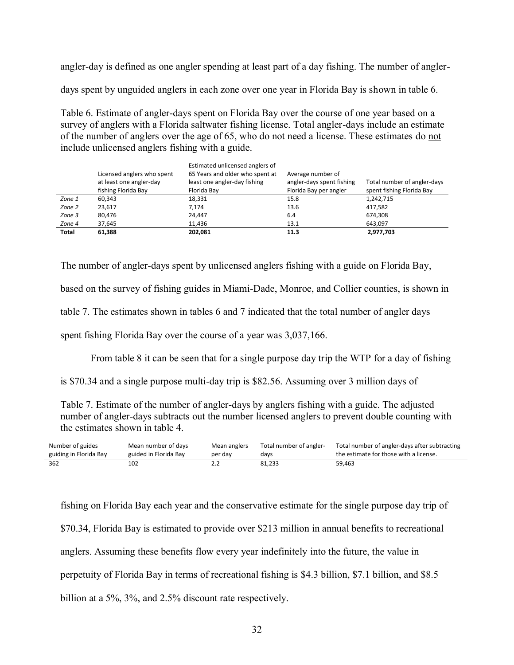angler-day is defined as one angler spending at least part of a day fishing. The number of angler-

days spent by unguided anglers in each zone over one year in Florida Bay is shown in table 6.

Table 6. Estimate of angler-days spent on Florida Bay over the course of one year based on a survey of anglers with a Florida saltwater fishing license. Total angler-days include an estimate of the number of anglers over the age of 65, who do not need a license. These estimates do not include unlicensed anglers fishing with a guide.

|        | Licensed anglers who spent<br>at least one angler-day<br>fishing Florida Bay | Estimated unlicensed anglers of<br>65 Years and older who spent at<br>least one angler-day fishing<br>Florida Bay | Average number of<br>angler-days spent fishing<br>Florida Bay per angler | Total number of angler-days<br>spent fishing Florida Bay |
|--------|------------------------------------------------------------------------------|-------------------------------------------------------------------------------------------------------------------|--------------------------------------------------------------------------|----------------------------------------------------------|
| Zone 1 | 60,343                                                                       | 18,331                                                                                                            | 15.8                                                                     | 1,242,715                                                |
| Zone 2 | 23,617                                                                       | 7.174                                                                                                             | 13.6                                                                     | 417,582                                                  |
| Zone 3 | 80,476                                                                       | 24,447                                                                                                            | 6.4                                                                      | 674.308                                                  |
| Zone 4 | 37,645                                                                       | 11,436                                                                                                            | 13.1                                                                     | 643.097                                                  |
| Total  | 61,388                                                                       | 202,081                                                                                                           | 11.3                                                                     | 2,977,703                                                |

The number of angler-days spent by unlicensed anglers fishing with a guide on Florida Bay,

based on the survey of fishing guides in Miami-Dade, Monroe, and Collier counties, is shown in

table 7. The estimates shown in tables 6 and 7 indicated that the total number of angler days

spent fishing Florida Bay over the course of a year was 3,037,166.

From table 8 it can be seen that for a single purpose day trip the WTP for a day of fishing

is \$70.34 and a single purpose multi-day trip is \$82.56. Assuming over 3 million days of

Table 7. Estimate of the number of angler-days by anglers fishing with a guide. The adjusted number of angler-days subtracts out the number licensed anglers to prevent double counting with the estimates shown in table 4.

| Number of guides       | Mean number of days   | Mean anglers | Total number of angler- | Total number of angler-days after subtracting |
|------------------------|-----------------------|--------------|-------------------------|-----------------------------------------------|
| guiding in Florida Bay | guided in Florida Bav | per day      | davs                    | the estimate for those with a license.        |
| 362                    | 102                   | ے ۔          | 81,233                  | 59,463                                        |

fishing on Florida Bay each year and the conservative estimate for the single purpose day trip of \$70.34, Florida Bay is estimated to provide over \$213 million in annual benefits to recreational anglers. Assuming these benefits flow every year indefinitely into the future, the value in perpetuity of Florida Bay in terms of recreational fishing is \$4.3 billion, \$7.1 billion, and \$8.5 billion at a 5%, 3%, and 2.5% discount rate respectively.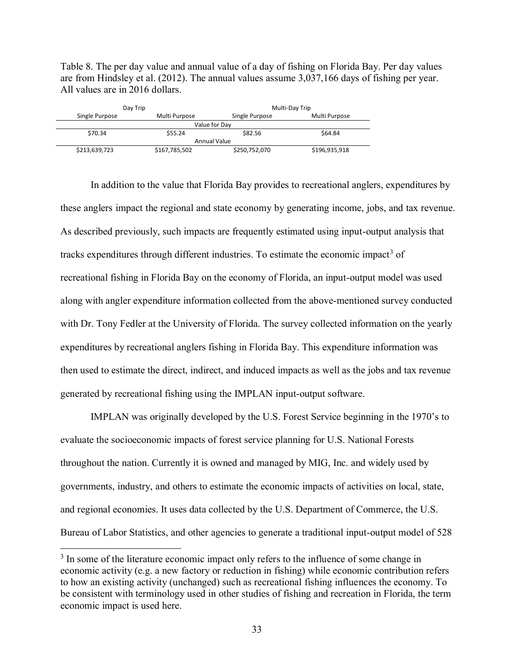Table 8. The per day value and annual value of a day of fishing on Florida Bay. Per day values are from Hindsley et al. (2012). The annual values assume 3,037,166 days of fishing per year. All values are in 2016 dollars.

| Day Trip       |               | Multi-Day Trip |               |  |
|----------------|---------------|----------------|---------------|--|
| Single Purpose | Multi Purpose | Single Purpose | Multi Purpose |  |
|                |               | Value for Dav  |               |  |
| \$70.34        | \$55.24       | \$82.56        | \$64.84       |  |
| Annual Value   |               |                |               |  |
| \$213,639,723  | \$167,785,502 | \$250,752,070  | \$196,935,918 |  |

In addition to the value that Florida Bay provides to recreational anglers, expenditures by these anglers impact the regional and state economy by generating income, jobs, and tax revenue. As described previously, such impacts are frequently estimated using input-output analysis that tracks expenditures through different industries. To estimate the economic impact<sup>3</sup> of recreational fishing in Florida Bay on the economy of Florida, an input-output model was used along with angler expenditure information collected from the above-mentioned survey conducted with Dr. Tony Fedler at the University of Florida. The survey collected information on the yearly expenditures by recreational anglers fishing in Florida Bay. This expenditure information was then used to estimate the direct, indirect, and induced impacts as well as the jobs and tax revenue generated by recreational fishing using the IMPLAN input-output software.

IMPLAN was originally developed by the U.S. Forest Service beginning in the 1970's to evaluate the socioeconomic impacts of forest service planning for U.S. National Forests throughout the nation. Currently it is owned and managed by MIG, Inc. and widely used by governments, industry, and others to estimate the economic impacts of activities on local, state, and regional economies. It uses data collected by the U.S. Department of Commerce, the U.S. Bureau of Labor Statistics, and other agencies to generate a traditional input-output model of 528

<sup>&</sup>lt;sup>3</sup> In some of the literature economic impact only refers to the influence of some change in economic activity (e.g. a new factory or reduction in fishing) while economic contribution refers to how an existing activity (unchanged) such as recreational fishing influences the economy. To be consistent with terminology used in other studies of fishing and recreation in Florida, the term economic impact is used here.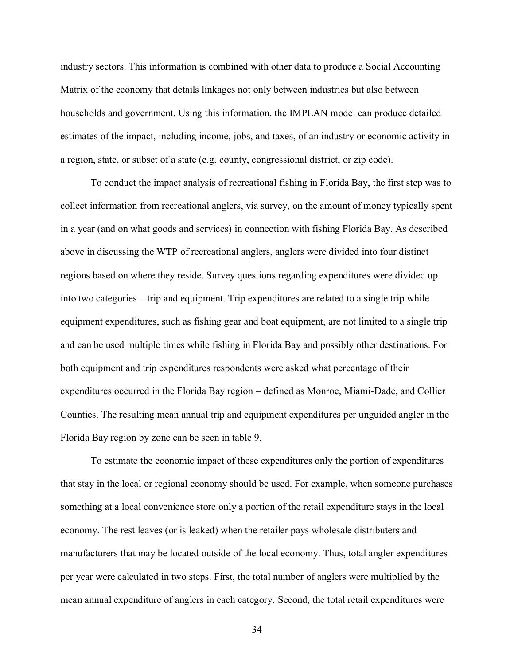industry sectors. This information is combined with other data to produce a Social Accounting Matrix of the economy that details linkages not only between industries but also between households and government. Using this information, the IMPLAN model can produce detailed estimates of the impact, including income, jobs, and taxes, of an industry or economic activity in a region, state, or subset of a state (e.g. county, congressional district, or zip code).

To conduct the impact analysis of recreational fishing in Florida Bay, the first step was to collect information from recreational anglers, via survey, on the amount of money typically spent in a year (and on what goods and services) in connection with fishing Florida Bay. As described above in discussing the WTP of recreational anglers, anglers were divided into four distinct regions based on where they reside. Survey questions regarding expenditures were divided up into two categories – trip and equipment. Trip expenditures are related to a single trip while equipment expenditures, such as fishing gear and boat equipment, are not limited to a single trip and can be used multiple times while fishing in Florida Bay and possibly other destinations. For both equipment and trip expenditures respondents were asked what percentage of their expenditures occurred in the Florida Bay region – defined as Monroe, Miami-Dade, and Collier Counties. The resulting mean annual trip and equipment expenditures per unguided angler in the Florida Bay region by zone can be seen in table 9.

To estimate the economic impact of these expenditures only the portion of expenditures that stay in the local or regional economy should be used. For example, when someone purchases something at a local convenience store only a portion of the retail expenditure stays in the local economy. The rest leaves (or is leaked) when the retailer pays wholesale distributers and manufacturers that may be located outside of the local economy. Thus, total angler expenditures per year were calculated in two steps. First, the total number of anglers were multiplied by the mean annual expenditure of anglers in each category. Second, the total retail expenditures were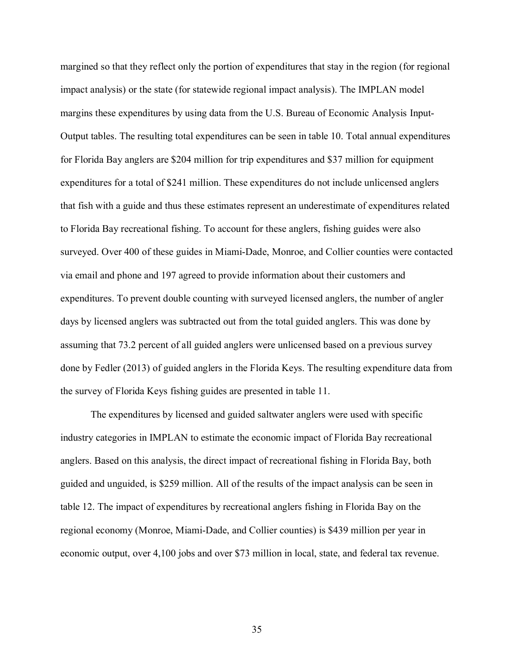margined so that they reflect only the portion of expenditures that stay in the region (for regional impact analysis) or the state (for statewide regional impact analysis). The IMPLAN model margins these expenditures by using data from the U.S. Bureau of Economic Analysis Input-Output tables. The resulting total expenditures can be seen in table 10. Total annual expenditures for Florida Bay anglers are \$204 million for trip expenditures and \$37 million for equipment expenditures for a total of \$241 million. These expenditures do not include unlicensed anglers that fish with a guide and thus these estimates represent an underestimate of expenditures related to Florida Bay recreational fishing. To account for these anglers, fishing guides were also surveyed. Over 400 of these guides in Miami-Dade, Monroe, and Collier counties were contacted via email and phone and 197 agreed to provide information about their customers and expenditures. To prevent double counting with surveyed licensed anglers, the number of angler days by licensed anglers was subtracted out from the total guided anglers. This was done by assuming that 73.2 percent of all guided anglers were unlicensed based on a previous survey done by Fedler (2013) of guided anglers in the Florida Keys. The resulting expenditure data from the survey of Florida Keys fishing guides are presented in table 11.

The expenditures by licensed and guided saltwater anglers were used with specific industry categories in IMPLAN to estimate the economic impact of Florida Bay recreational anglers. Based on this analysis, the direct impact of recreational fishing in Florida Bay, both guided and unguided, is \$259 million. All of the results of the impact analysis can be seen in table 12. The impact of expenditures by recreational anglers fishing in Florida Bay on the regional economy (Monroe, Miami-Dade, and Collier counties) is \$439 million per year in economic output, over 4,100 jobs and over \$73 million in local, state, and federal tax revenue.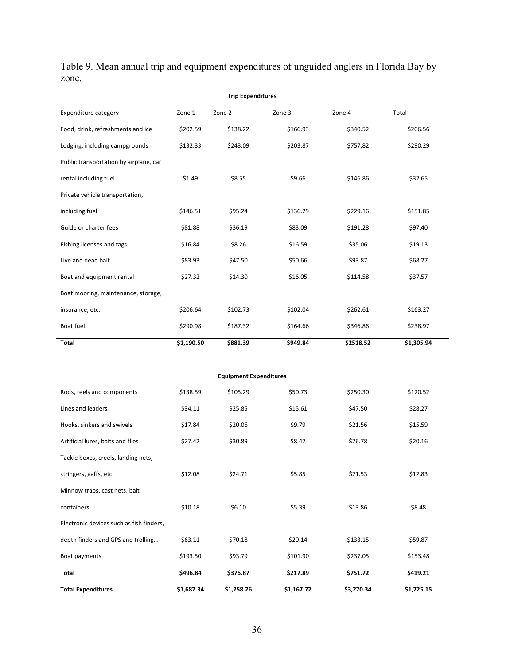Table 9. Mean annual trip and equipment expenditures of unguided anglers in Florida Bay by zone.

|                                          | <b>Trip Expenditures</b> |                               |          |           |            |  |  |
|------------------------------------------|--------------------------|-------------------------------|----------|-----------|------------|--|--|
| <b>Expenditure category</b>              | Zone 1                   | Zone 2                        | Zone 3   | Zone 4    | Total      |  |  |
| Food, drink, refreshments and ice        | \$202.59                 | \$138.22                      | \$166.93 | \$340.52  | \$206.56   |  |  |
| Lodging, including campgrounds           | \$132.33                 | \$243.09                      | \$203.87 | \$757.82  | \$290.29   |  |  |
| Public transportation by airplane, car   |                          |                               |          |           |            |  |  |
| rental including fuel                    | \$1.49                   | \$8.55                        | \$9.66   | \$146.86  | \$32.65    |  |  |
| Private vehicle transportation,          |                          |                               |          |           |            |  |  |
| including fuel                           | \$146.51                 | \$95.24                       | \$136.29 | \$229.16  | \$151.85   |  |  |
| Guide or charter fees                    | \$81.88                  | \$36.19                       | \$83.09  | \$191.28  | \$97.40    |  |  |
| Fishing licenses and tags                | \$16.84                  | \$8.26                        | \$16.59  | \$35.06   | \$19.13    |  |  |
| Live and dead bait                       | \$83.93                  | \$47.50                       | \$50.66  | \$93.87   | \$68.27    |  |  |
| Boat and equipment rental                | \$27.32                  | \$14.30                       | \$16.05  | \$114.58  | \$37.57    |  |  |
| Boat mooring, maintenance, storage,      |                          |                               |          |           |            |  |  |
| insurance, etc.                          | \$206.64                 | \$102.73                      | \$102.04 | \$262.61  | \$163.27   |  |  |
| Boat fuel                                | \$290.98                 | \$187.32                      | \$164.66 | \$346.86  | \$238.97   |  |  |
| Total                                    | \$1,190.50               | \$881.39                      | \$949.84 | \$2518.52 | \$1,305.94 |  |  |
|                                          |                          |                               |          |           |            |  |  |
|                                          |                          | <b>Equipment Expenditures</b> |          |           |            |  |  |
| Rods, reels and components               | \$138.59                 | \$105.29                      | \$50.73  | \$250.30  | \$120.52   |  |  |
| Lines and leaders                        | \$34.11                  | \$25.85                       | \$15.61  | \$47.50   | \$28.27    |  |  |
| Hooks, sinkers and swivels               | \$17.84                  | \$20.06                       | \$9.79   | \$21.56   | \$15.59    |  |  |
| Artificial lures, baits and flies        | \$27.42                  | \$30.89                       | \$8.47   | \$26.78   | \$20.16    |  |  |
| Tackle boxes, creels, landing nets,      |                          |                               |          |           |            |  |  |
| stringers, gaffs, etc.                   | \$12.08                  | \$24.71                       | \$5.85   | \$21.53   | \$12.83    |  |  |
| Minnow traps, cast nets, bait            |                          |                               |          |           |            |  |  |
| containers                               | \$10.18                  | \$6.10                        | \$5.39   | \$13.86   | \$8.48     |  |  |
| Electronic devices such as fish finders, |                          |                               |          |           |            |  |  |
| depth finders and GPS and trolling       | \$63.11                  | \$70.18                       | \$20.14  | \$133.15  | \$59.87    |  |  |
| Boat payments                            | \$193.50                 | \$93.79                       | \$101.90 | \$237.05  | \$153.48   |  |  |
| Total                                    | \$496.84                 | \$376.87                      | \$217.89 | \$751.72  | \$419.21   |  |  |

**Total Expenditures \$1,687.34 \$1,258.26 \$1,167.72 \$3,270.34 \$1,725.15**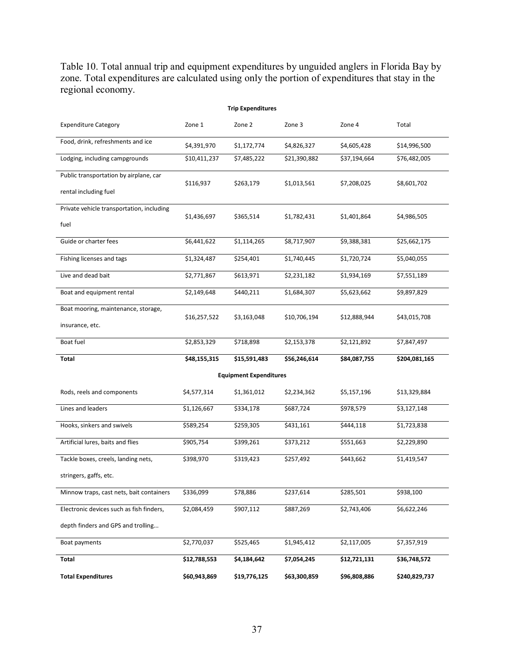Table 10. Total annual trip and equipment expenditures by unguided anglers in Florida Bay by zone. Total expenditures are calculated using only the portion of expenditures that stay in the regional economy.

| <b>Trip Expenditures</b>                  |              |                               |              |              |               |  |  |
|-------------------------------------------|--------------|-------------------------------|--------------|--------------|---------------|--|--|
| <b>Expenditure Category</b>               | Zone 1       | Zone 2                        | Zone 3       | Zone 4       | Total         |  |  |
| Food, drink, refreshments and ice         | \$4,391,970  | \$1,172,774                   | \$4,826,327  | \$4,605,428  | \$14,996,500  |  |  |
| Lodging, including campgrounds            | \$10,411,237 | \$7,485,222                   | \$21,390,882 | \$37,194,664 | \$76,482,005  |  |  |
| Public transportation by airplane, car    | \$116,937    | \$263,179                     | \$1,013,561  | \$7,208,025  | \$8,601,702   |  |  |
| rental including fuel                     |              |                               |              |              |               |  |  |
| Private vehicle transportation, including | \$1,436,697  | \$365,514                     | \$1,782,431  | \$1,401,864  | \$4,986,505   |  |  |
| fuel                                      |              |                               |              |              |               |  |  |
| Guide or charter fees                     | \$6,441,622  | \$1,114,265                   | \$8,717,907  | \$9,388,381  | \$25,662,175  |  |  |
| Fishing licenses and tags                 | \$1,324,487  | \$254,401                     | \$1,740,445  | \$1,720,724  | \$5,040,055   |  |  |
| Live and dead bait                        | \$2,771,867  | \$613,971                     | \$2,231,182  | \$1,934,169  | \$7,551,189   |  |  |
| Boat and equipment rental                 | \$2,149,648  | \$440,211                     | \$1,684,307  | \$5,623,662  | \$9,897,829   |  |  |
| Boat mooring, maintenance, storage,       | \$16,257,522 | \$3,163,048                   | \$10,706,194 | \$12,888,944 | \$43,015,708  |  |  |
| insurance, etc.                           |              |                               |              |              |               |  |  |
| Boat fuel                                 | \$2,853,329  | \$718,898                     | \$2,153,378  | \$2,121,892  | \$7,847,497   |  |  |
| Total                                     | \$48,155,315 | \$15,591,483                  | \$56,246,614 | \$84,087,755 | \$204,081,165 |  |  |
|                                           |              | <b>Equipment Expenditures</b> |              |              |               |  |  |
| Rods, reels and components                | \$4,577,314  | \$1,361,012                   | \$2,234,362  | \$5,157,196  | \$13,329,884  |  |  |
| Lines and leaders                         | \$1,126,667  | \$334,178                     | \$687,724    | \$978,579    | \$3,127,148   |  |  |
| Hooks, sinkers and swivels                | \$589,254    | \$259,305                     | \$431,161    | \$444,118    | \$1,723,838   |  |  |
| Artificial lures, baits and flies         | \$905,754    | \$399,261                     | \$373,212    | \$551,663    | \$2,229,890   |  |  |
| Tackle boxes, creels, landing nets,       | \$398,970    | \$319,423                     | \$257,492    | \$443,662    | \$1,419,547   |  |  |
| stringers, gaffs, etc.                    |              |                               |              |              |               |  |  |
| Minnow traps, cast nets, bait containers  | \$336,099    | \$78,886                      | \$237,614    | \$285,501    | \$938,100     |  |  |
| Electronic devices such as fish finders,  | \$2,084,459  | \$907,112                     | \$887,269    | \$2,743,406  | \$6,622,246   |  |  |
| depth finders and GPS and trolling        |              |                               |              |              |               |  |  |
| Boat payments                             | \$2,770,037  | \$525,465                     | \$1,945,412  | \$2,117,005  | \$7,357,919   |  |  |
| Total                                     | \$12,788,553 | \$4,184,642                   | \$7,054,245  | \$12,721,131 | \$36,748,572  |  |  |
| <b>Total Expenditures</b>                 | \$60,943,869 | \$19,776,125                  | \$63,300,859 | \$96,808,886 | \$240,829,737 |  |  |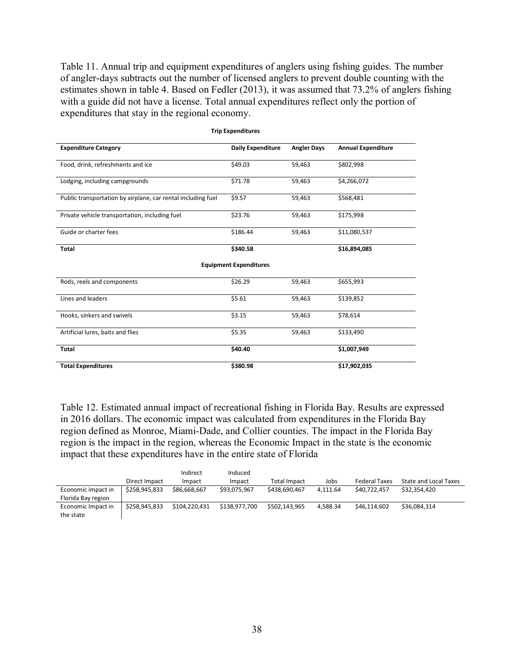Table 11. Annual trip and equipment expenditures of anglers using fishing guides. The number of angler-days subtracts out the number of licensed anglers to prevent double counting with the estimates shown in table 4. Based on Fedler (2013), it was assumed that 73.2% of anglers fishing with a guide did not have a license. Total annual expenditures reflect only the portion of expenditures that stay in the regional economy.

| <b>Expenditure Category</b>                                  | <b>Daily Expenditure</b>      | <b>Angler Days</b> | <b>Annual Expenditure</b> |
|--------------------------------------------------------------|-------------------------------|--------------------|---------------------------|
|                                                              |                               |                    |                           |
| Food, drink, refreshments and ice                            | \$49.03                       | 59,463             | \$802,998                 |
| Lodging, including campgrounds                               | \$71.78                       | 59,463             | \$4,266,072               |
| Public transportation by airplane, car rental including fuel | \$9.57                        | 59,463             | \$568,481                 |
| Private vehicle transportation, including fuel               | \$23.76                       | 59,463             | \$175,998                 |
| Guide or charter fees                                        | \$186.44                      | 59,463             | \$11,080,537              |
| <b>Total</b>                                                 | \$340.58                      |                    | \$16,894,085              |
|                                                              | <b>Equipment Expenditures</b> |                    |                           |
| Rods, reels and components                                   | \$26.29                       | 59,463             | \$655,993                 |
| Lines and leaders                                            | \$5.61                        | 59,463             | \$139,852                 |
| Hooks, sinkers and swivels                                   | \$3.15                        | 59,463             | \$78,614                  |
| Artificial lures, baits and flies                            | \$5.35                        | 59,463             | \$133,490                 |
| <b>Total</b>                                                 | \$40.40                       |                    | \$1,007,949               |
| <b>Total Expenditures</b>                                    | \$380.98                      |                    | \$17,902,035              |

**Trip Expenditures**

Table 12. Estimated annual impact of recreational fishing in Florida Bay. Results are expressed in 2016 dollars. The economic impact was calculated from expenditures in the Florida Bay region defined as Monroe, Miami-Dade, and Collier counties. The impact in the Florida Bay region is the impact in the region, whereas the Economic Impact in the state is the economic impact that these expenditures have in the entire state of Florida

|                                          |               | Indirect      | Induced       |                     |          |                      |                              |
|------------------------------------------|---------------|---------------|---------------|---------------------|----------|----------------------|------------------------------|
|                                          | Direct Impact | Impact        | Impact        | <b>Total Impact</b> | Jobs     | <b>Federal Taxes</b> | <b>State and Local Taxes</b> |
| Economic impact in<br>Florida Bay region | \$258.945.833 | \$86,668,667  | \$93,075,967  | \$438,690,467       | 4.111.64 | \$40.722.457         | \$32.354.420                 |
| Economic Impact in<br>the state          | \$258.945.833 | \$104.220.431 | \$138,977.700 | \$502.143.965       | 4.588.34 | \$46.114.602         | \$36,084,314                 |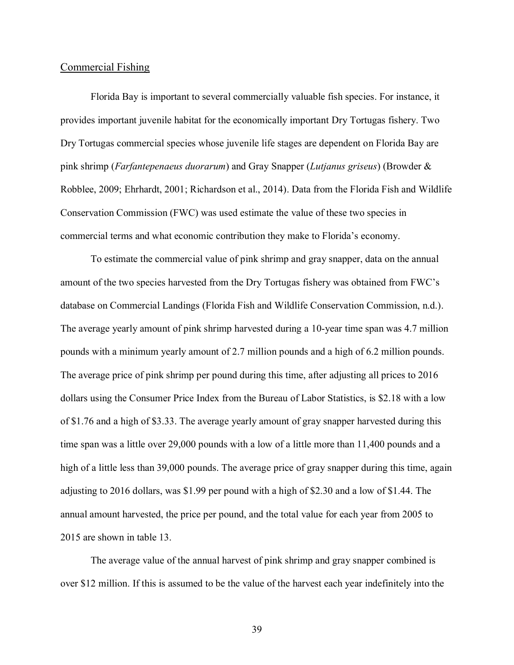#### Commercial Fishing

Florida Bay is important to several commercially valuable fish species. For instance, it provides important juvenile habitat for the economically important Dry Tortugas fishery. Two Dry Tortugas commercial species whose juvenile life stages are dependent on Florida Bay are pink shrimp (*Farfantepenaeus duorarum*) and Gray Snapper (*Lutjanus griseus*) (Browder & Robblee, 2009; Ehrhardt, 2001; Richardson et al., 2014). Data from the Florida Fish and Wildlife Conservation Commission (FWC) was used estimate the value of these two species in commercial terms and what economic contribution they make to Florida's economy.

To estimate the commercial value of pink shrimp and gray snapper, data on the annual amount of the two species harvested from the Dry Tortugas fishery was obtained from FWC's database on Commercial Landings (Florida Fish and Wildlife Conservation Commission, n.d.). The average yearly amount of pink shrimp harvested during a 10-year time span was 4.7 million pounds with a minimum yearly amount of 2.7 million pounds and a high of 6.2 million pounds. The average price of pink shrimp per pound during this time, after adjusting all prices to 2016 dollars using the Consumer Price Index from the Bureau of Labor Statistics, is \$2.18 with a low of \$1.76 and a high of \$3.33. The average yearly amount of gray snapper harvested during this time span was a little over 29,000 pounds with a low of a little more than 11,400 pounds and a high of a little less than 39,000 pounds. The average price of gray snapper during this time, again adjusting to 2016 dollars, was \$1.99 per pound with a high of \$2.30 and a low of \$1.44. The annual amount harvested, the price per pound, and the total value for each year from 2005 to 2015 are shown in table 13.

The average value of the annual harvest of pink shrimp and gray snapper combined is over \$12 million. If this is assumed to be the value of the harvest each year indefinitely into the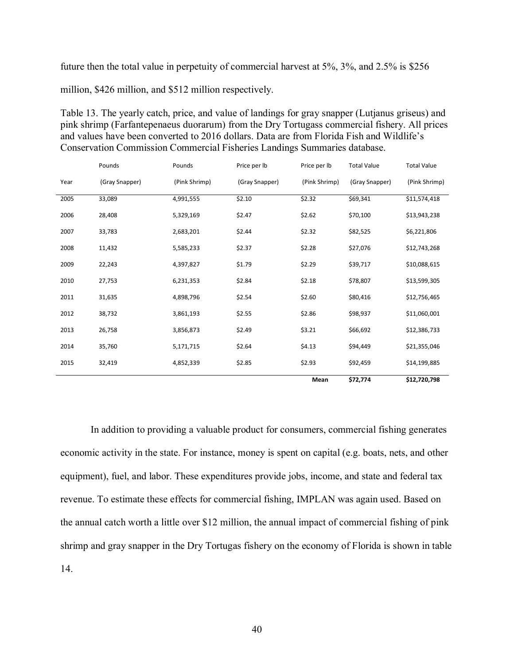future then the total value in perpetuity of commercial harvest at 5%, 3%, and 2.5% is \$256

million, \$426 million, and \$512 million respectively.

Table 13. The yearly catch, price, and value of landings for gray snapper (Lutjanus griseus) and pink shrimp (Farfantepenaeus duorarum) from the Dry Tortugass commercial fishery. All prices and values have been converted to 2016 dollars. Data are from Florida Fish and Wildlife's Conservation Commission Commercial Fisheries Landings Summaries database.

|      | Pounds         | Pounds        | Price per lb   | Price per lb  | <b>Total Value</b> | <b>Total Value</b> |
|------|----------------|---------------|----------------|---------------|--------------------|--------------------|
| Year | (Gray Snapper) | (Pink Shrimp) | (Gray Snapper) | (Pink Shrimp) | (Gray Snapper)     | (Pink Shrimp)      |
| 2005 | 33,089         | 4,991,555     | \$2.10         | \$2.32        | \$69,341           | \$11,574,418       |
| 2006 | 28,408         | 5,329,169     | \$2.47         | \$2.62        | \$70,100           | \$13,943,238       |
| 2007 | 33,783         | 2,683,201     | \$2.44         | \$2.32        | \$82,525           | \$6,221,806        |
| 2008 | 11,432         | 5,585,233     | \$2.37         | \$2.28        | \$27,076           | \$12,743,268       |
| 2009 | 22,243         | 4,397,827     | \$1.79         | \$2.29        | \$39,717           | \$10,088,615       |
| 2010 | 27,753         | 6,231,353     | \$2.84         | \$2.18        | \$78,807           | \$13,599,305       |
| 2011 | 31,635         | 4,898,796     | \$2.54         | \$2.60        | \$80,416           | \$12,756,465       |
| 2012 | 38,732         | 3,861,193     | \$2.55         | \$2.86        | \$98,937           | \$11,060,001       |
| 2013 | 26,758         | 3,856,873     | \$2.49         | \$3.21        | \$66,692           | \$12,386,733       |
| 2014 | 35,760         | 5,171,715     | \$2.64         | \$4.13        | \$94,449           | \$21,355,046       |
| 2015 | 32,419         | 4,852,339     | \$2.85         | \$2.93        | \$92,459           | \$14,199,885       |
|      |                |               |                | Mean          | \$72,774           | \$12,720,798       |

In addition to providing a valuable product for consumers, commercial fishing generates economic activity in the state. For instance, money is spent on capital (e.g. boats, nets, and other equipment), fuel, and labor. These expenditures provide jobs, income, and state and federal tax revenue. To estimate these effects for commercial fishing, IMPLAN was again used. Based on the annual catch worth a little over \$12 million, the annual impact of commercial fishing of pink shrimp and gray snapper in the Dry Tortugas fishery on the economy of Florida is shown in table 14.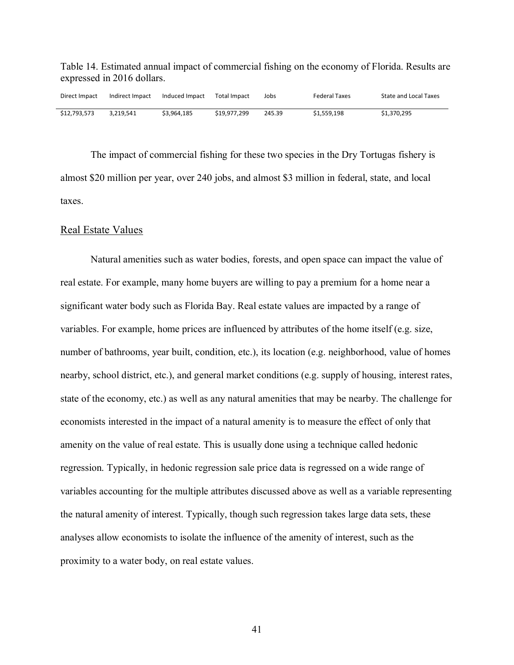Table 14. Estimated annual impact of commercial fishing on the economy of Florida. Results are expressed in 2016 dollars.

| Direct Impact | Indirect Impact | Induced Impact | Total Impact | Jobs   | <b>Federal Taxes</b> | <b>State and Local Taxes</b> |
|---------------|-----------------|----------------|--------------|--------|----------------------|------------------------------|
| \$12.793.573  | 3.219.541       | \$3.964.185    | \$19.977.299 | 245.39 | \$1.559.198          | \$1,370,295                  |

The impact of commercial fishing for these two species in the Dry Tortugas fishery is almost \$20 million per year, over 240 jobs, and almost \$3 million in federal, state, and local taxes.

#### Real Estate Values

Natural amenities such as water bodies, forests, and open space can impact the value of real estate. For example, many home buyers are willing to pay a premium for a home near a significant water body such as Florida Bay. Real estate values are impacted by a range of variables. For example, home prices are influenced by attributes of the home itself (e.g. size, number of bathrooms, year built, condition, etc.), its location (e.g. neighborhood, value of homes nearby, school district, etc.), and general market conditions (e.g. supply of housing, interest rates, state of the economy, etc.) as well as any natural amenities that may be nearby. The challenge for economists interested in the impact of a natural amenity is to measure the effect of only that amenity on the value of real estate. This is usually done using a technique called hedonic regression. Typically, in hedonic regression sale price data is regressed on a wide range of variables accounting for the multiple attributes discussed above as well as a variable representing the natural amenity of interest. Typically, though such regression takes large data sets, these analyses allow economists to isolate the influence of the amenity of interest, such as the proximity to a water body, on real estate values.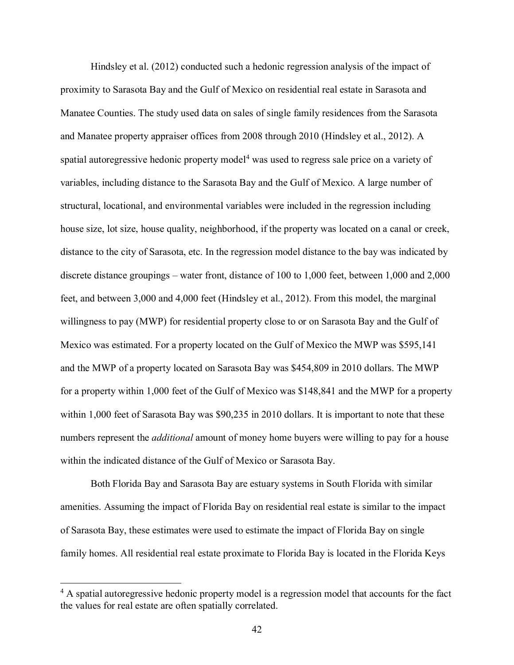Hindsley et al. (2012) conducted such a hedonic regression analysis of the impact of proximity to Sarasota Bay and the Gulf of Mexico on residential real estate in Sarasota and Manatee Counties. The study used data on sales of single family residences from the Sarasota and Manatee property appraiser offices from 2008 through 2010 (Hindsley et al., 2012). A spatial autoregressive hedonic property model<sup>4</sup> was used to regress sale price on a variety of variables, including distance to the Sarasota Bay and the Gulf of Mexico. A large number of structural, locational, and environmental variables were included in the regression including house size, lot size, house quality, neighborhood, if the property was located on a canal or creek, distance to the city of Sarasota, etc. In the regression model distance to the bay was indicated by discrete distance groupings – water front, distance of 100 to 1,000 feet, between 1,000 and 2,000 feet, and between 3,000 and 4,000 feet (Hindsley et al., 2012). From this model, the marginal willingness to pay (MWP) for residential property close to or on Sarasota Bay and the Gulf of Mexico was estimated. For a property located on the Gulf of Mexico the MWP was \$595,141 and the MWP of a property located on Sarasota Bay was \$454,809 in 2010 dollars. The MWP for a property within 1,000 feet of the Gulf of Mexico was \$148,841 and the MWP for a property within 1,000 feet of Sarasota Bay was \$90,235 in 2010 dollars. It is important to note that these numbers represent the *additional* amount of money home buyers were willing to pay for a house within the indicated distance of the Gulf of Mexico or Sarasota Bay.

Both Florida Bay and Sarasota Bay are estuary systems in South Florida with similar amenities. Assuming the impact of Florida Bay on residential real estate is similar to the impact of Sarasota Bay, these estimates were used to estimate the impact of Florida Bay on single family homes. All residential real estate proximate to Florida Bay is located in the Florida Keys

<sup>&</sup>lt;sup>4</sup> A spatial autoregressive hedonic property model is a regression model that accounts for the fact the values for real estate are often spatially correlated.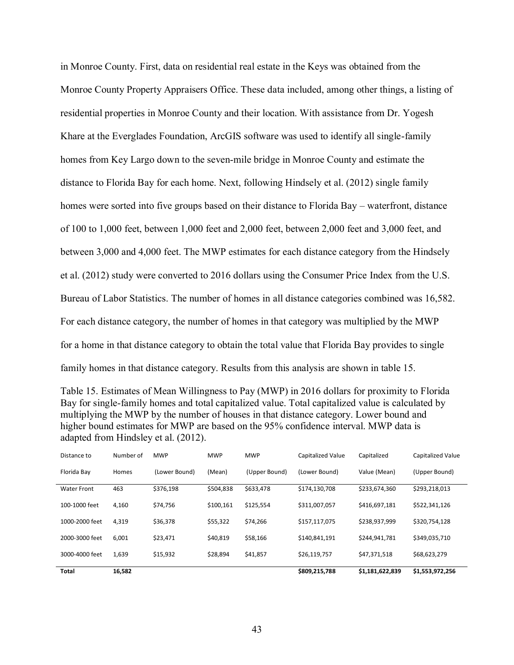in Monroe County. First, data on residential real estate in the Keys was obtained from the Monroe County Property Appraisers Office. These data included, among other things, a listing of residential properties in Monroe County and their location. With assistance from Dr. Yogesh Khare at the Everglades Foundation, ArcGIS software was used to identify all single-family homes from Key Largo down to the seven-mile bridge in Monroe County and estimate the distance to Florida Bay for each home. Next, following Hindsely et al. (2012) single family homes were sorted into five groups based on their distance to Florida Bay – waterfront, distance of 100 to 1,000 feet, between 1,000 feet and 2,000 feet, between 2,000 feet and 3,000 feet, and between 3,000 and 4,000 feet. The MWP estimates for each distance category from the Hindsely et al. (2012) study were converted to 2016 dollars using the Consumer Price Index from the U.S. Bureau of Labor Statistics. The number of homes in all distance categories combined was 16,582. For each distance category, the number of homes in that category was multiplied by the MWP for a home in that distance category to obtain the total value that Florida Bay provides to single family homes in that distance category. Results from this analysis are shown in table 15.

| Table 15. Estimates of Mean Willingness to Pay (MWP) in 2016 dollars for proximity to Florida     |
|---------------------------------------------------------------------------------------------------|
| Bay for single-family homes and total capitalized value. Total capitalized value is calculated by |
| multiplying the MWP by the number of houses in that distance category. Lower bound and            |
| higher bound estimates for MWP are based on the 95% confidence interval. MWP data is              |
| adapted from Hindsley et al. (2012).                                                              |

| <b>Total</b>       | 16,582    |               |            |               | \$809,215,788            | \$1,181,622,839 | \$1,553,972,256          |
|--------------------|-----------|---------------|------------|---------------|--------------------------|-----------------|--------------------------|
| 3000-4000 feet     | 1,639     | \$15,932      | \$28,894   | \$41,857      | \$26,119,757             | \$47,371,518    | \$68,623,279             |
|                    |           |               |            |               |                          |                 |                          |
| 2000-3000 feet     | 6,001     | \$23,471      | \$40,819   | \$58,166      | \$140,841,191            | \$244.941.781   | \$349,035,710            |
| 1000-2000 feet     | 4,319     | \$36,378      | \$55,322   | \$74.266      | \$157,117,075            | \$238.937.999   | \$320.754.128            |
| 100-1000 feet      | 4,160     | \$74,756      | \$100,161  | \$125,554     | \$311,007,057            | \$416,697,181   | \$522,341,126            |
|                    |           |               |            |               |                          |                 |                          |
| <b>Water Front</b> | 463       | \$376,198     | \$504,838  | \$633,478     | \$174,130,708            | \$233,674,360   | \$293,218,013            |
| Florida Bay        | Homes     | (Lower Bound) | (Mean)     | (Upper Bound) | (Lower Bound)            | Value (Mean)    | (Upper Bound)            |
| Distance to        | Number of | <b>MWP</b>    | <b>MWP</b> | <b>MWP</b>    | <b>Capitalized Value</b> | Capitalized     | <b>Capitalized Value</b> |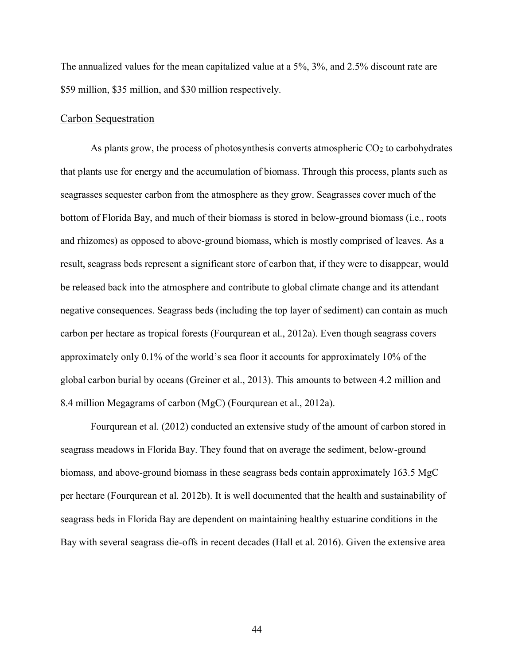The annualized values for the mean capitalized value at a 5%, 3%, and 2.5% discount rate are \$59 million, \$35 million, and \$30 million respectively.

#### Carbon Sequestration

As plants grow, the process of photosynthesis converts atmospheric  $CO<sub>2</sub>$  to carbohydrates that plants use for energy and the accumulation of biomass. Through this process, plants such as seagrasses sequester carbon from the atmosphere as they grow. Seagrasses cover much of the bottom of Florida Bay, and much of their biomass is stored in below-ground biomass (i.e., roots and rhizomes) as opposed to above-ground biomass, which is mostly comprised of leaves. As a result, seagrass beds represent a significant store of carbon that, if they were to disappear, would be released back into the atmosphere and contribute to global climate change and its attendant negative consequences. Seagrass beds (including the top layer of sediment) can contain as much carbon per hectare as tropical forests (Fourqurean et al., 2012a). Even though seagrass covers approximately only 0.1% of the world's sea floor it accounts for approximately 10% of the global carbon burial by oceans (Greiner et al., 2013). This amounts to between 4.2 million and 8.4 million Megagrams of carbon (MgC) (Fourqurean et al., 2012a).

Fourqurean et al. (2012) conducted an extensive study of the amount of carbon stored in seagrass meadows in Florida Bay. They found that on average the sediment, below-ground biomass, and above-ground biomass in these seagrass beds contain approximately 163.5 MgC per hectare (Fourqurean et al. 2012b). It is well documented that the health and sustainability of seagrass beds in Florida Bay are dependent on maintaining healthy estuarine conditions in the Bay with several seagrass die-offs in recent decades (Hall et al. 2016). Given the extensive area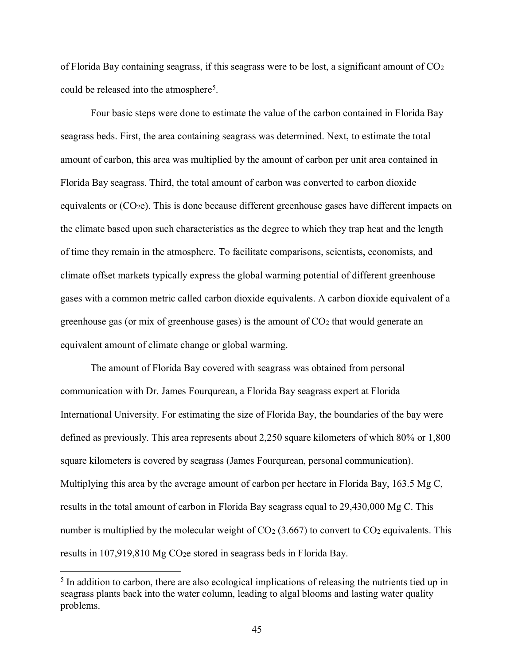of Florida Bay containing seagrass, if this seagrass were to be lost, a significant amount of  $CO<sub>2</sub>$ could be released into the atmosphere5.

Four basic steps were done to estimate the value of the carbon contained in Florida Bay seagrass beds. First, the area containing seagrass was determined. Next, to estimate the total amount of carbon, this area was multiplied by the amount of carbon per unit area contained in Florida Bay seagrass. Third, the total amount of carbon was converted to carbon dioxide equivalents or (CO2e). This is done because different greenhouse gases have different impacts on the climate based upon such characteristics as the degree to which they trap heat and the length of time they remain in the atmosphere. To facilitate comparisons, scientists, economists, and climate offset markets typically express the global warming potential of different greenhouse gases with a common metric called carbon dioxide equivalents. A carbon dioxide equivalent of a greenhouse gas (or mix of greenhouse gases) is the amount of  $CO<sub>2</sub>$  that would generate an equivalent amount of climate change or global warming.

The amount of Florida Bay covered with seagrass was obtained from personal communication with Dr. James Fourqurean, a Florida Bay seagrass expert at Florida International University. For estimating the size of Florida Bay, the boundaries of the bay were defined as previously. This area represents about 2,250 square kilometers of which 80% or 1,800 square kilometers is covered by seagrass (James Fourqurean, personal communication). Multiplying this area by the average amount of carbon per hectare in Florida Bay, 163.5 Mg C, results in the total amount of carbon in Florida Bay seagrass equal to 29,430,000 Mg C. This number is multiplied by the molecular weight of  $CO<sub>2</sub>$  (3.667) to convert to  $CO<sub>2</sub>$  equivalents. This results in 107,919,810 Mg CO<sub>2</sub>e stored in seagrass beds in Florida Bay.

<sup>&</sup>lt;sup>5</sup> In addition to carbon, there are also ecological implications of releasing the nutrients tied up in seagrass plants back into the water column, leading to algal blooms and lasting water quality problems.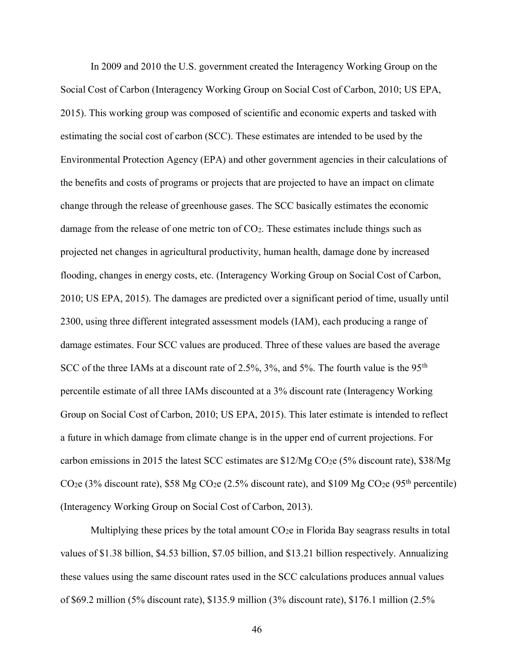In 2009 and 2010 the U.S. government created the Interagency Working Group on the Social Cost of Carbon (Interagency Working Group on Social Cost of Carbon, 2010; US EPA, 2015). This working group was composed of scientific and economic experts and tasked with estimating the social cost of carbon (SCC). These estimates are intended to be used by the Environmental Protection Agency (EPA) and other government agencies in their calculations of the benefits and costs of programs or projects that are projected to have an impact on climate change through the release of greenhouse gases. The SCC basically estimates the economic damage from the release of one metric ton of CO2. These estimates include things such as projected net changes in agricultural productivity, human health, damage done by increased flooding, changes in energy costs, etc. (Interagency Working Group on Social Cost of Carbon, 2010; US EPA, 2015). The damages are predicted over a significant period of time, usually until 2300, using three different integrated assessment models (IAM), each producing a range of damage estimates. Four SCC values are produced. Three of these values are based the average SCC of the three IAMs at a discount rate of 2.5%, 3%, and 5%. The fourth value is the 95<sup>th</sup> percentile estimate of all three IAMs discounted at a 3% discount rate (Interagency Working Group on Social Cost of Carbon, 2010; US EPA, 2015). This later estimate is intended to reflect a future in which damage from climate change is in the upper end of current projections. For carbon emissions in 2015 the latest SCC estimates are \$12/Mg CO2e (5% discount rate), \$38/Mg CO<sub>2</sub>e (3% discount rate), \$58 Mg CO<sub>2</sub>e (2.5% discount rate), and \$109 Mg CO<sub>2</sub>e (95<sup>th</sup> percentile) (Interagency Working Group on Social Cost of Carbon, 2013).

Multiplying these prices by the total amount  $CO<sub>2</sub>e$  in Florida Bay seagrass results in total values of \$1.38 billion, \$4.53 billion, \$7.05 billion, and \$13.21 billion respectively. Annualizing these values using the same discount rates used in the SCC calculations produces annual values of \$69.2 million (5% discount rate), \$135.9 million (3% discount rate), \$176.1 million (2.5%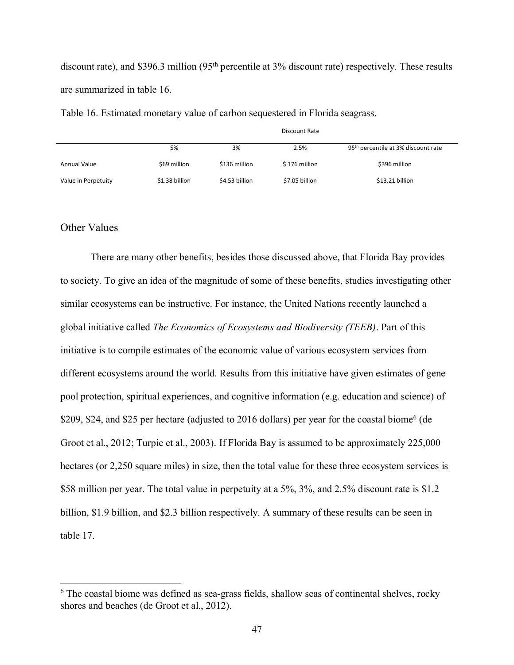discount rate), and \$396.3 million (95<sup>th</sup> percentile at 3% discount rate) respectively. These results are summarized in table 16.

Table 16. Estimated monetary value of carbon sequestered in Florida seagrass.

|                     | Discount Rate  |                |                |                                                 |  |  |  |
|---------------------|----------------|----------------|----------------|-------------------------------------------------|--|--|--|
|                     | 5%             | 3%             | 2.5%           | 95 <sup>th</sup> percentile at 3% discount rate |  |  |  |
| Annual Value        | \$69 million   | \$136 million  | \$176 million  | \$396 million                                   |  |  |  |
| Value in Perpetuity | \$1.38 billion | \$4.53 billion | \$7.05 billion | \$13.21 billion                                 |  |  |  |

#### Other Values

There are many other benefits, besides those discussed above, that Florida Bay provides to society. To give an idea of the magnitude of some of these benefits, studies investigating other similar ecosystems can be instructive. For instance, the United Nations recently launched a global initiative called *The Economics of Ecosystems and Biodiversity (TEEB)*. Part of this initiative is to compile estimates of the economic value of various ecosystem services from different ecosystems around the world. Results from this initiative have given estimates of gene pool protection, spiritual experiences, and cognitive information (e.g. education and science) of \$209, \$24, and \$25 per hectare (adjusted to 2016 dollars) per year for the coastal biome<sup>6</sup> (de Groot et al., 2012; Turpie et al., 2003). If Florida Bay is assumed to be approximately 225,000 hectares (or 2,250 square miles) in size, then the total value for these three ecosystem services is \$58 million per year. The total value in perpetuity at a 5%, 3%, and 2.5% discount rate is \$1.2 billion, \$1.9 billion, and \$2.3 billion respectively. A summary of these results can be seen in table 17.

<sup>&</sup>lt;sup>6</sup> The coastal biome was defined as sea-grass fields, shallow seas of continental shelves, rocky shores and beaches (de Groot et al., 2012).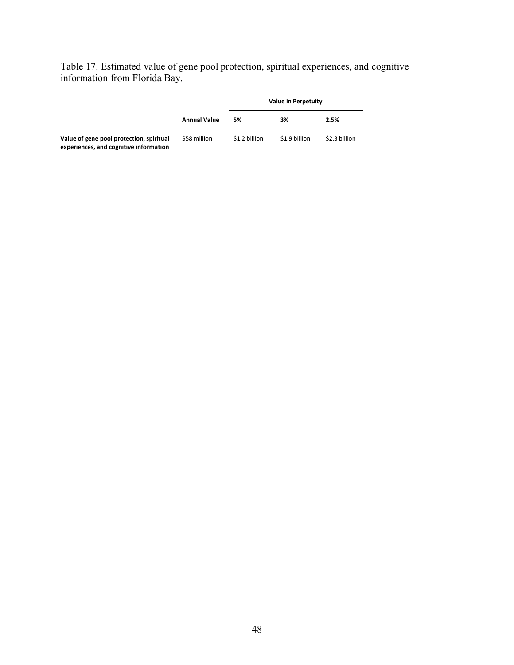Table 17. Estimated value of gene pool protection, spiritual experiences, and cognitive information from Florida Bay.

|                                                                                    |                     |               | Value in Perpetuity |               |  |  |
|------------------------------------------------------------------------------------|---------------------|---------------|---------------------|---------------|--|--|
|                                                                                    | <b>Annual Value</b> | 5%            | 3%                  | 2.5%          |  |  |
| Value of gene pool protection, spiritual<br>experiences, and cognitive information | \$58 million        | \$1.2 billion | \$1.9 billion       | \$2.3 billion |  |  |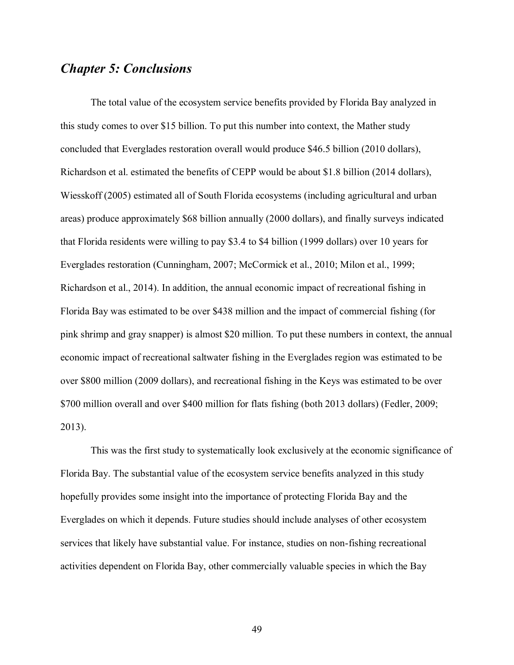### *Chapter 5: Conclusions*

The total value of the ecosystem service benefits provided by Florida Bay analyzed in this study comes to over \$15 billion. To put this number into context, the Mather study concluded that Everglades restoration overall would produce \$46.5 billion (2010 dollars), Richardson et al. estimated the benefits of CEPP would be about \$1.8 billion (2014 dollars), Wiesskoff (2005) estimated all of South Florida ecosystems (including agricultural and urban areas) produce approximately \$68 billion annually (2000 dollars), and finally surveys indicated that Florida residents were willing to pay \$3.4 to \$4 billion (1999 dollars) over 10 years for Everglades restoration (Cunningham, 2007; McCormick et al., 2010; Milon et al., 1999; Richardson et al., 2014). In addition, the annual economic impact of recreational fishing in Florida Bay was estimated to be over \$438 million and the impact of commercial fishing (for pink shrimp and gray snapper) is almost \$20 million. To put these numbers in context, the annual economic impact of recreational saltwater fishing in the Everglades region was estimated to be over \$800 million (2009 dollars), and recreational fishing in the Keys was estimated to be over \$700 million overall and over \$400 million for flats fishing (both 2013 dollars) (Fedler, 2009; 2013).

This was the first study to systematically look exclusively at the economic significance of Florida Bay. The substantial value of the ecosystem service benefits analyzed in this study hopefully provides some insight into the importance of protecting Florida Bay and the Everglades on which it depends. Future studies should include analyses of other ecosystem services that likely have substantial value. For instance, studies on non-fishing recreational activities dependent on Florida Bay, other commercially valuable species in which the Bay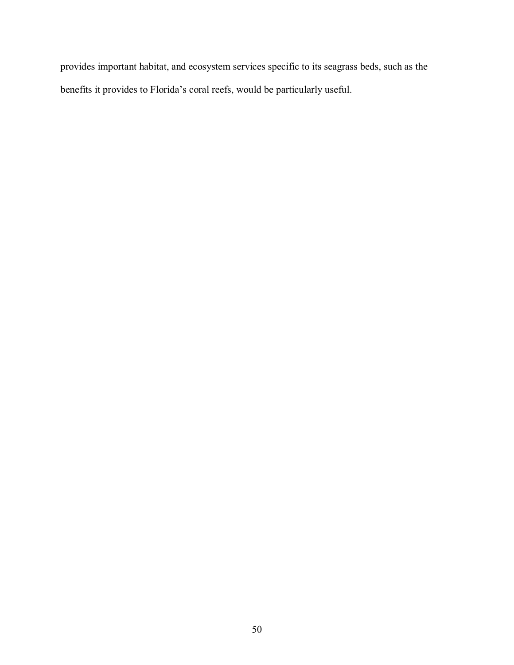provides important habitat, and ecosystem services specific to its seagrass beds, such as the benefits it provides to Florida's coral reefs, would be particularly useful.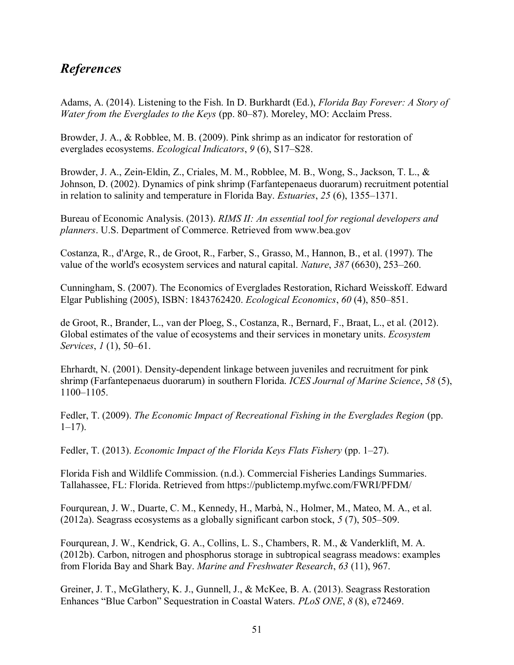## *References*

Adams, A. (2014). Listening to the Fish. In D. Burkhardt (Ed.), *Florida Bay Forever: A Story of Water from the Everglades to the Keys* (pp. 80–87). Moreley, MO: Acclaim Press.

Browder, J. A., & Robblee, M. B. (2009). Pink shrimp as an indicator for restoration of everglades ecosystems. *Ecological Indicators*, *9* (6), S17–S28.

Browder, J. A., Zein-Eldin, Z., Criales, M. M., Robblee, M. B., Wong, S., Jackson, T. L., & Johnson, D. (2002). Dynamics of pink shrimp (Farfantepenaeus duorarum) recruitment potential in relation to salinity and temperature in Florida Bay. *Estuaries*, *25* (6), 1355–1371.

Bureau of Economic Analysis. (2013). *RIMS II: An essential tool for regional developers and planners*. U.S. Department of Commerce. Retrieved from www.bea.gov

Costanza, R., d'Arge, R., de Groot, R., Farber, S., Grasso, M., Hannon, B., et al. (1997). The value of the world's ecosystem services and natural capital. *Nature*, *387* (6630), 253–260.

Cunningham, S. (2007). The Economics of Everglades Restoration, Richard Weisskoff. Edward Elgar Publishing (2005), ISBN: 1843762420. *Ecological Economics*, *60* (4), 850–851.

de Groot, R., Brander, L., van der Ploeg, S., Costanza, R., Bernard, F., Braat, L., et al. (2012). Global estimates of the value of ecosystems and their services in monetary units. *Ecosystem Services*, *1* (1), 50–61.

Ehrhardt, N. (2001). Density-dependent linkage between juveniles and recruitment for pink shrimp (Farfantepenaeus duorarum) in southern Florida. *ICES Journal of Marine Science*, *58* (5), 1100–1105.

Fedler, T. (2009). *The Economic Impact of Recreational Fishing in the Everglades Region* (pp.  $1-17$ ).

Fedler, T. (2013). *Economic Impact of the Florida Keys Flats Fishery* (pp. 1–27).

Florida Fish and Wildlife Commission. (n.d.). Commercial Fisheries Landings Summaries. Tallahassee, FL: Florida. Retrieved from https://publictemp.myfwc.com/FWRI/PFDM/

Fourqurean, J. W., Duarte, C. M., Kennedy, H., Marbà, N., Holmer, M., Mateo, M. A., et al. (2012a). Seagrass ecosystems as a globally significant carbon stock, *5* (7), 505–509.

Fourqurean, J. W., Kendrick, G. A., Collins, L. S., Chambers, R. M., & Vanderklift, M. A. (2012b). Carbon, nitrogen and phosphorus storage in subtropical seagrass meadows: examples from Florida Bay and Shark Bay. *Marine and Freshwater Research*, *63* (11), 967.

Greiner, J. T., McGlathery, K. J., Gunnell, J., & McKee, B. A. (2013). Seagrass Restoration Enhances "Blue Carbon" Sequestration in Coastal Waters. *PLoS ONE*, *8* (8), e72469.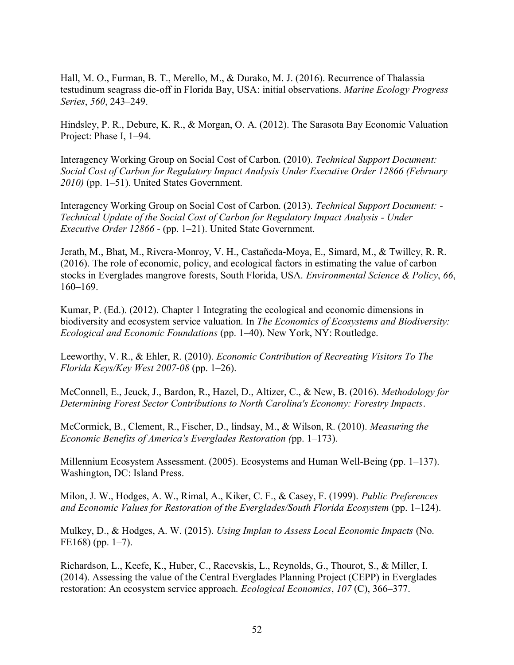Hall, M. O., Furman, B. T., Merello, M., & Durako, M. J. (2016). Recurrence of Thalassia testudinum seagrass die-off in Florida Bay, USA: initial observations. *Marine Ecology Progress Series*, *560*, 243–249.

Hindsley, P. R., Debure, K. R., & Morgan, O. A. (2012). The Sarasota Bay Economic Valuation Project: Phase I, 1–94.

Interagency Working Group on Social Cost of Carbon. (2010). *Technical Support Document: Social Cost of Carbon for Regulatory Impact Analysis Under Executive Order 12866 (February 2010)* (pp. 1–51). United States Government.

Interagency Working Group on Social Cost of Carbon. (2013). *Technical Support Document: - Technical Update of the Social Cost of Carbon for Regulatory Impact Analysis - Under Executive Order 12866 -* (pp. 1–21). United State Government.

Jerath, M., Bhat, M., Rivera-Monroy, V. H., Castañeda-Moya, E., Simard, M., & Twilley, R. R. (2016). The role of economic, policy, and ecological factors in estimating the value of carbon stocks in Everglades mangrove forests, South Florida, USA. *Environmental Science & Policy*, *66*, 160–169.

Kumar, P. (Ed.). (2012). Chapter 1 Integrating the ecological and economic dimensions in biodiversity and ecosystem service valuation. In *The Economics of Ecosystems and Biodiversity: Ecological and Economic Foundations* (pp. 1–40). New York, NY: Routledge.

Leeworthy, V. R., & Ehler, R. (2010). *Economic Contribution of Recreating Visitors To The Florida Keys/Key West 2007‐08* (pp. 1–26).

McConnell, E., Jeuck, J., Bardon, R., Hazel, D., Altizer, C., & New, B. (2016). *Methodology for Determining Forest Sector Contributions to North Carolina's Economy: Forestry Impacts*.

McCormick, B., Clement, R., Fischer, D., lindsay, M., & Wilson, R. (2010). *Measuring the Economic Benefits of America's Everglades Restoration (*pp. 1–173).

Millennium Ecosystem Assessment. (2005). Ecosystems and Human Well-Being (pp. 1–137). Washington, DC: Island Press.

Milon, J. W., Hodges, A. W., Rimal, A., Kiker, C. F., & Casey, F. (1999). *Public Preferences and Economic Values for Restoration of the Everglades/South Florida Ecosystem* (pp. 1–124).

Mulkey, D., & Hodges, A. W. (2015). *Using Implan to Assess Local Economic Impacts* (No. FE168) (pp. 1–7).

Richardson, L., Keefe, K., Huber, C., Racevskis, L., Reynolds, G., Thourot, S., & Miller, I. (2014). Assessing the value of the Central Everglades Planning Project (CEPP) in Everglades restoration: An ecosystem service approach. *Ecological Economics*, *107* (C), 366–377.